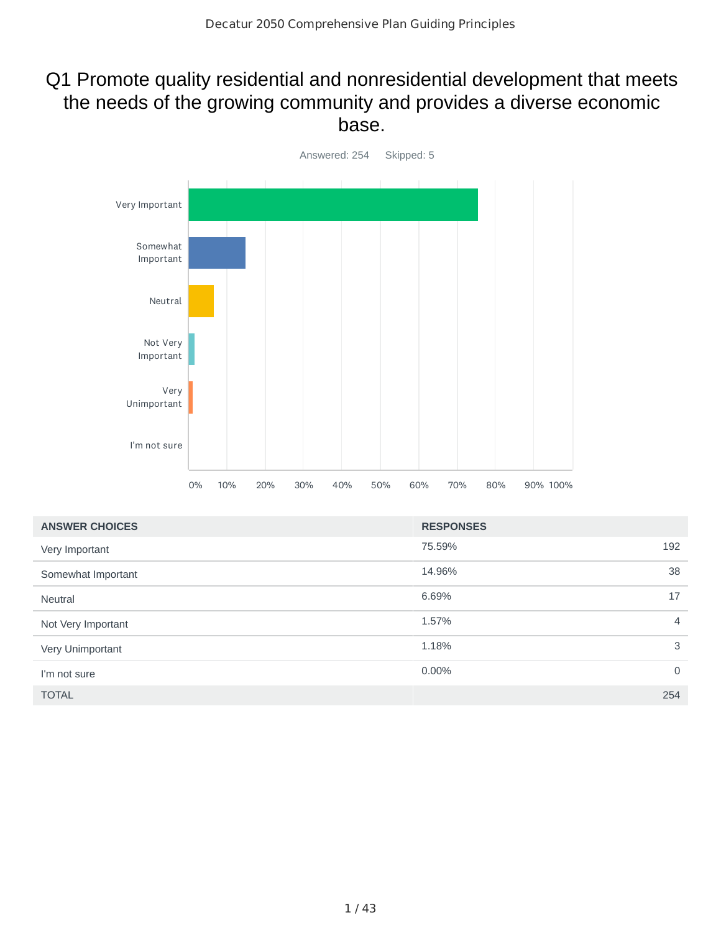#### Q1 Promote quality residential and nonresidential development that meets the needs of the growing community and provides a diverse economic base.



| <b>ANSWER CHOICES</b> | <b>RESPONSES</b> |                |
|-----------------------|------------------|----------------|
| Very Important        | 75.59%           | 192            |
| Somewhat Important    | 14.96%           | 38             |
| <b>Neutral</b>        | 6.69%            | 17             |
| Not Very Important    | 1.57%            | 4              |
| Very Unimportant      | 1.18%            | 3              |
| I'm not sure          | 0.00%            | $\overline{0}$ |
| <b>TOTAL</b>          |                  | 254            |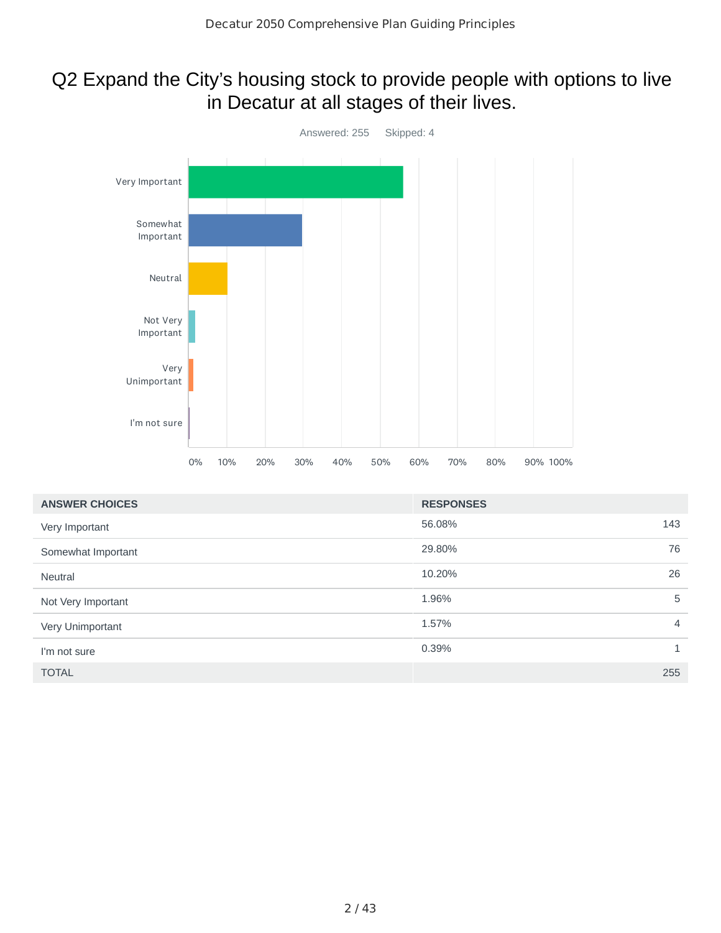# Q2 Expand the City's housing stock to provide people with options to live in Decatur at all stages of their lives.



| <b>ANSWER CHOICES</b> | <b>RESPONSES</b> |                |
|-----------------------|------------------|----------------|
| Very Important        | 56.08%           | 143            |
| Somewhat Important    | 29.80%           | 76             |
| <b>Neutral</b>        | 10.20%           | 26             |
| Not Very Important    | 1.96%            | 5              |
| Very Unimportant      | 1.57%            | $\overline{4}$ |
| I'm not sure          | 0.39%            | $\mathbf{1}$   |
| <b>TOTAL</b>          |                  | 255            |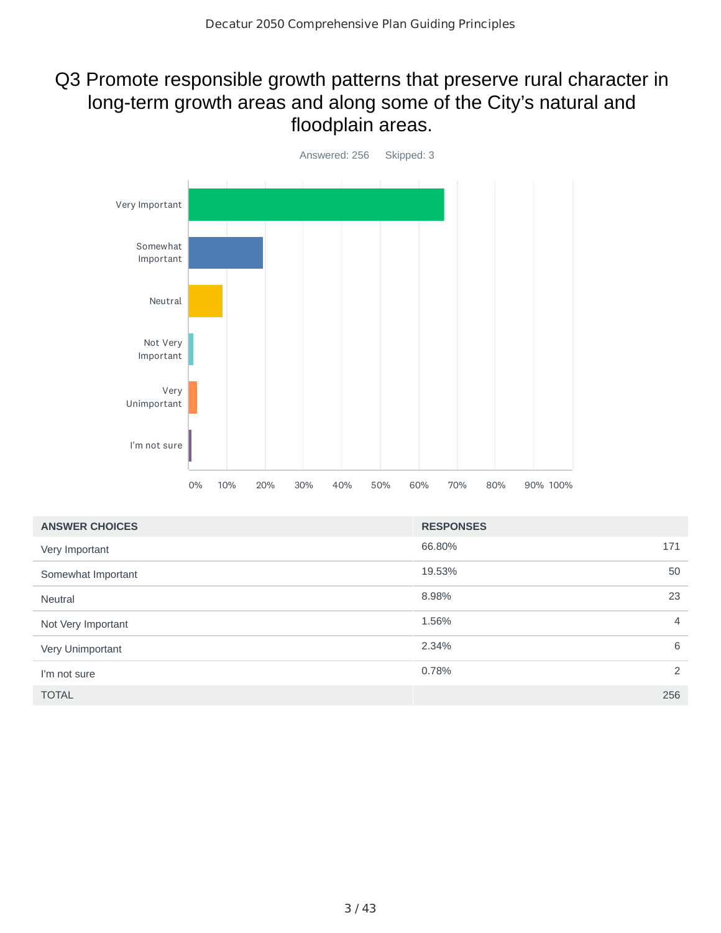## Q3 Promote responsible growth patterns that preserve rural character in long-term growth areas and along some of the City's natural and floodplain areas.



| <b>ANSWER CHOICES</b> | <b>RESPONSES</b> |                |
|-----------------------|------------------|----------------|
| Very Important        | 66.80%           | 171            |
| Somewhat Important    | 19.53%           | 50             |
| <b>Neutral</b>        | 8.98%            | 23             |
| Not Very Important    | 1.56%            | $\overline{4}$ |
| Very Unimportant      | 2.34%            | 6              |
| I'm not sure          | 0.78%            | 2              |
| <b>TOTAL</b>          |                  | 256            |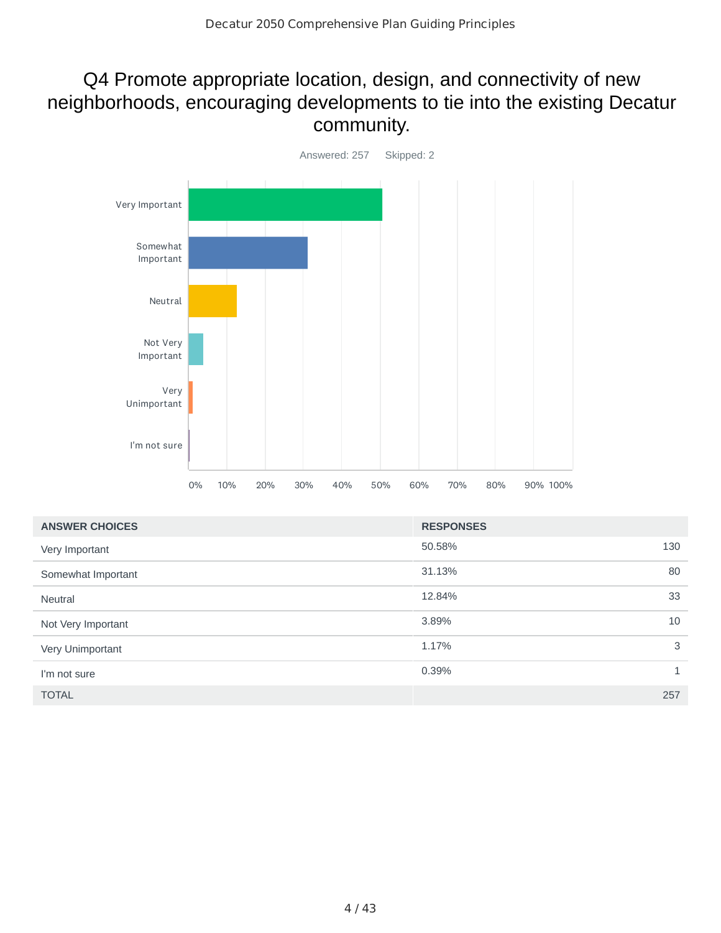## Q4 Promote appropriate location, design, and connectivity of new neighborhoods, encouraging developments to tie into the existing Decatur community.



| <b>ANSWER CHOICES</b> | <b>RESPONSES</b> |              |
|-----------------------|------------------|--------------|
| Very Important        | 50.58%           | 130          |
| Somewhat Important    | 31.13%           | 80           |
| <b>Neutral</b>        | 12.84%           | 33           |
| Not Very Important    | 3.89%            | 10           |
| Very Unimportant      | 1.17%            | 3            |
| I'm not sure          | 0.39%            | $\mathbf{1}$ |
| <b>TOTAL</b>          |                  | 257          |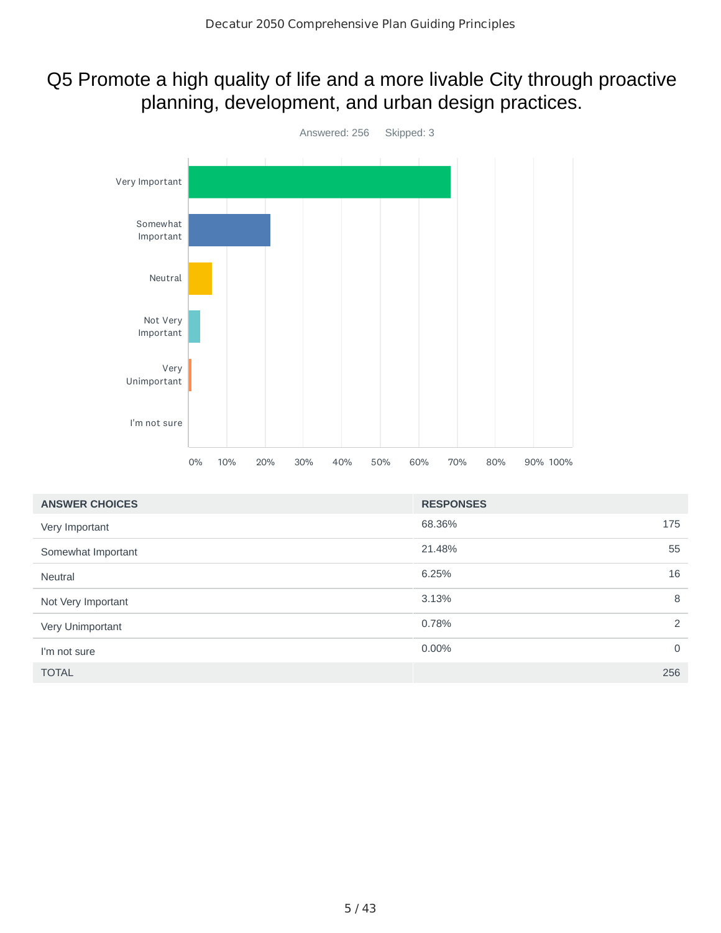#### Q5 Promote a high quality of life and a more livable City through proactive planning, development, and urban design practices.



| <b>ANSWER CHOICES</b> | <b>RESPONSES</b>           |
|-----------------------|----------------------------|
| Very Important        | 68.36%<br>175              |
| Somewhat Important    | 55<br>21.48%               |
| <b>Neutral</b>        | 16<br>6.25%                |
| Not Very Important    | 8<br>3.13%                 |
| Very Unimportant      | 2<br>0.78%                 |
| I'm not sure          | $0.00\%$<br>$\overline{0}$ |
| <b>TOTAL</b>          | 256                        |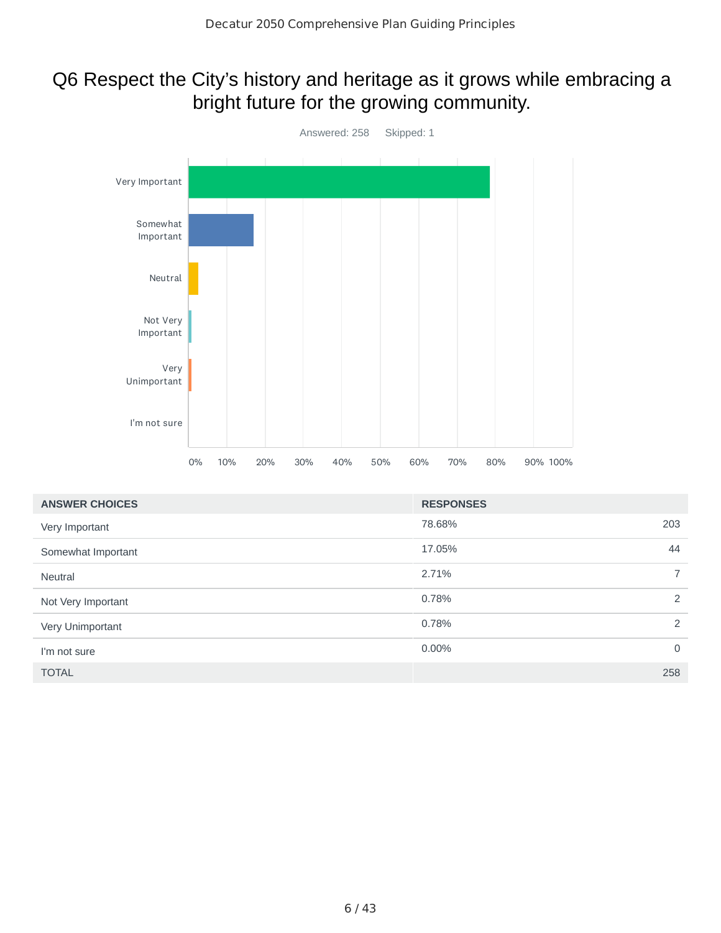# Q6 Respect the City's history and heritage as it grows while embracing a bright future for the growing community.



| <b>ANSWER CHOICES</b> | <b>RESPONSES</b> |                |
|-----------------------|------------------|----------------|
| Very Important        | 78.68%           | 203            |
| Somewhat Important    | 17.05%           | 44             |
| <b>Neutral</b>        | 2.71%            | $\overline{7}$ |
| Not Very Important    | 0.78%            | 2              |
| Very Unimportant      | 0.78%            | 2              |
| I'm not sure          | 0.00%            | $\mathbf 0$    |
| <b>TOTAL</b>          |                  | 258            |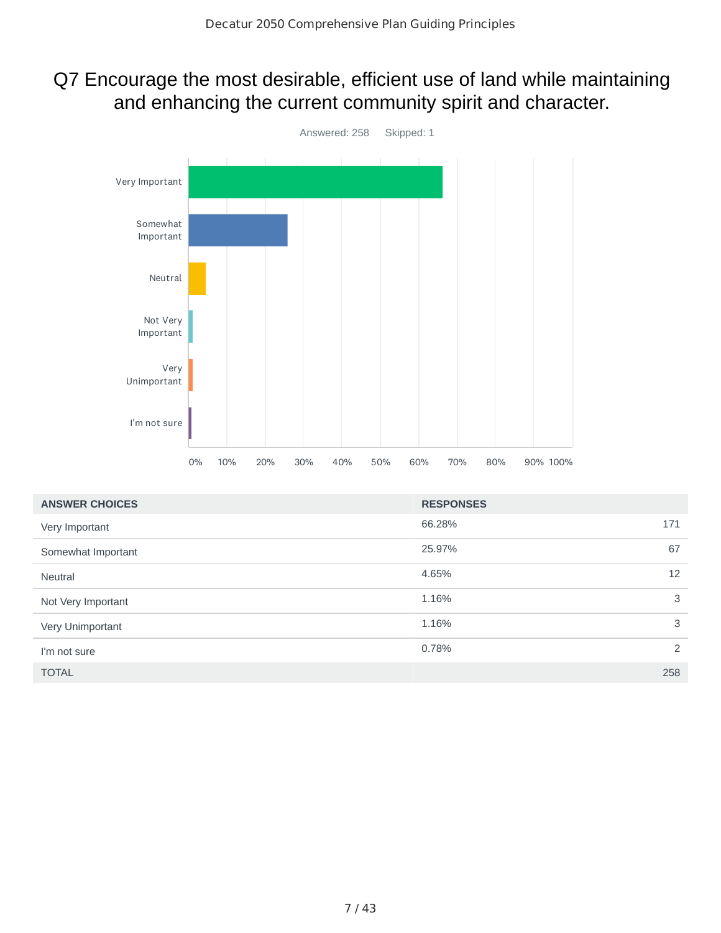#### Q7 Encourage the most desirable, efficient use of land while maintaining and enhancing the current community spirit and character.



| <b>ANSWER CHOICES</b> | <b>RESPONSES</b> |                |
|-----------------------|------------------|----------------|
| Very Important        | 66.28%           | 171            |
| Somewhat Important    | 25.97%           | 67             |
| <b>Neutral</b>        | 4.65%            | 12             |
| Not Very Important    | 1.16%            | 3              |
| Very Unimportant      | 1.16%            | 3              |
| I'm not sure          | 0.78%            | $\overline{2}$ |
| <b>TOTAL</b>          |                  | 258            |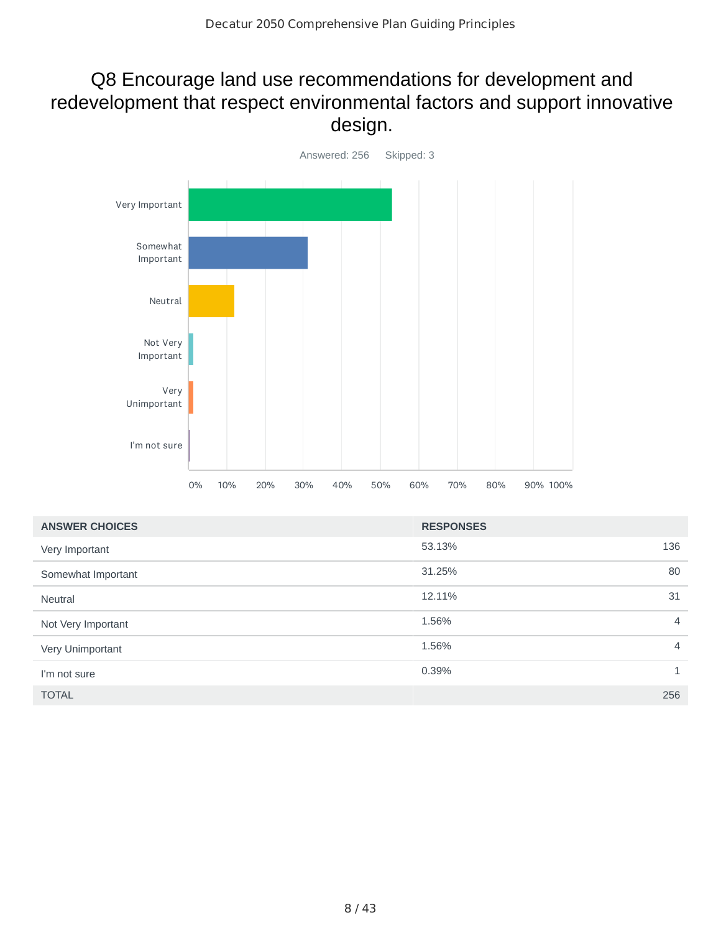## Q8 Encourage land use recommendations for development and redevelopment that respect environmental factors and support innovative design.



| <b>ANSWER CHOICES</b> | <b>RESPONSES</b> |                |
|-----------------------|------------------|----------------|
| Very Important        | 53.13%           | 136            |
| Somewhat Important    | 31.25%           | 80             |
| <b>Neutral</b>        | 12.11%           | 31             |
| Not Very Important    | 1.56%            | $\overline{4}$ |
| Very Unimportant      | 1.56%            | $\overline{4}$ |
| I'm not sure          | 0.39%            | $\mathbf{1}$   |
| <b>TOTAL</b>          |                  | 256            |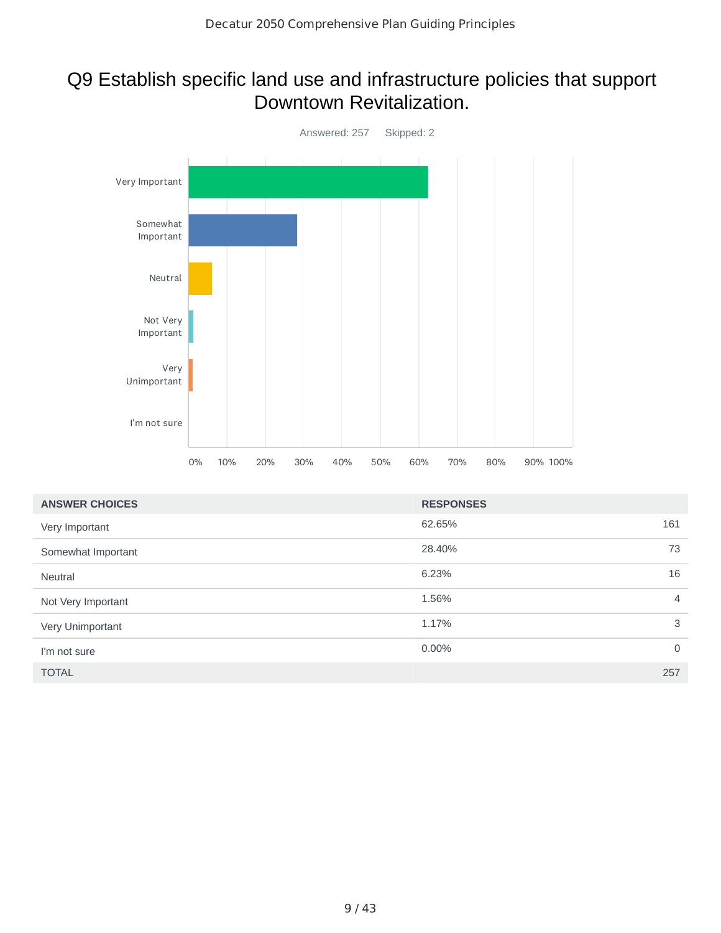#### Q9 Establish specific land use and infrastructure policies that support Downtown Revitalization.



| <b>ANSWER CHOICES</b> | <b>RESPONSES</b> |                |
|-----------------------|------------------|----------------|
| Very Important        | 62.65%           | 161            |
| Somewhat Important    | 28.40%           | 73             |
| Neutral               | 6.23%            | 16             |
| Not Very Important    | 1.56%            | $\overline{4}$ |
| Very Unimportant      | 1.17%            | 3              |
| I'm not sure          | 0.00%            | $\mathbf 0$    |
| <b>TOTAL</b>          |                  | 257            |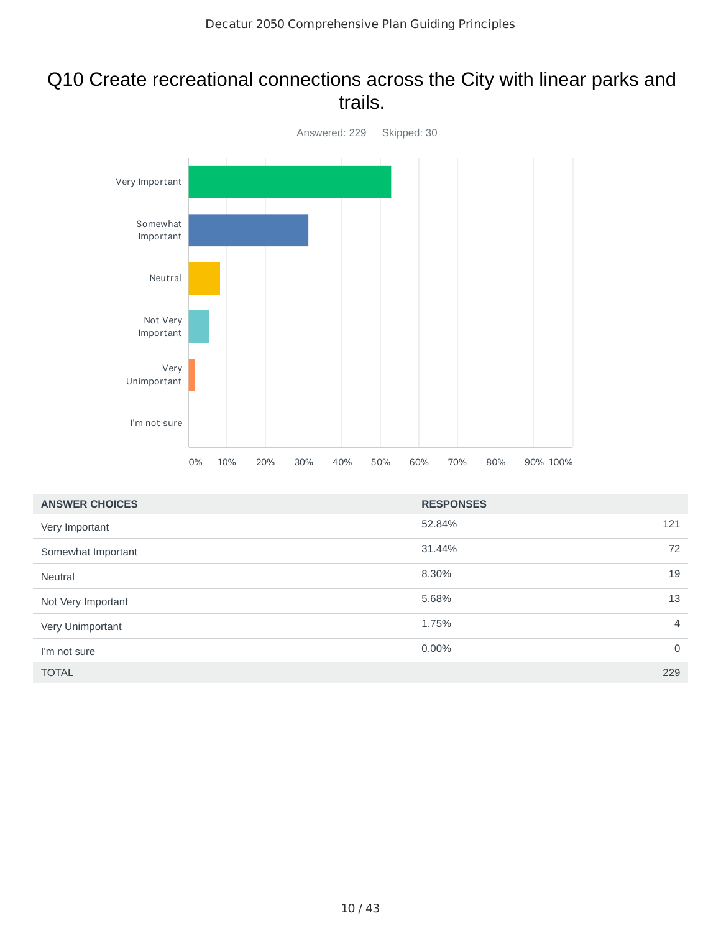#### Q10 Create recreational connections across the City with linear parks and trails.



| <b>ANSWER CHOICES</b> | <b>RESPONSES</b> |                |
|-----------------------|------------------|----------------|
| Very Important        | 52.84%           | 121            |
| Somewhat Important    | 31.44%           | 72             |
| Neutral               | 8.30%            | 19             |
| Not Very Important    | 5.68%            | 13             |
| Very Unimportant      | 1.75%            | $\overline{4}$ |
| I'm not sure          | 0.00%            | $\mathbf 0$    |
| <b>TOTAL</b>          |                  | 229            |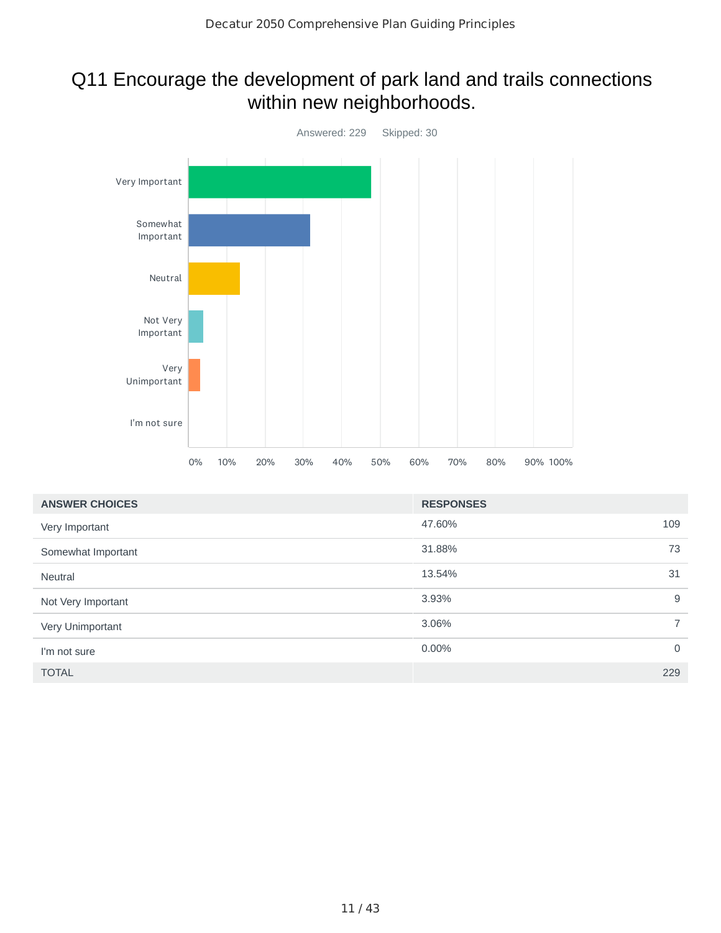# Q11 Encourage the development of park land and trails connections within new neighborhoods.



| <b>ANSWER CHOICES</b> | <b>RESPONSES</b> |                |
|-----------------------|------------------|----------------|
| Very Important        | 47.60%           | 109            |
| Somewhat Important    | 31.88%           | 73             |
| <b>Neutral</b>        | 13.54%           | 31             |
| Not Very Important    | 3.93%            | 9              |
| Very Unimportant      | 3.06%            | $\overline{7}$ |
| I'm not sure          | $0.00\%$         | $\overline{0}$ |
| <b>TOTAL</b>          |                  | 229            |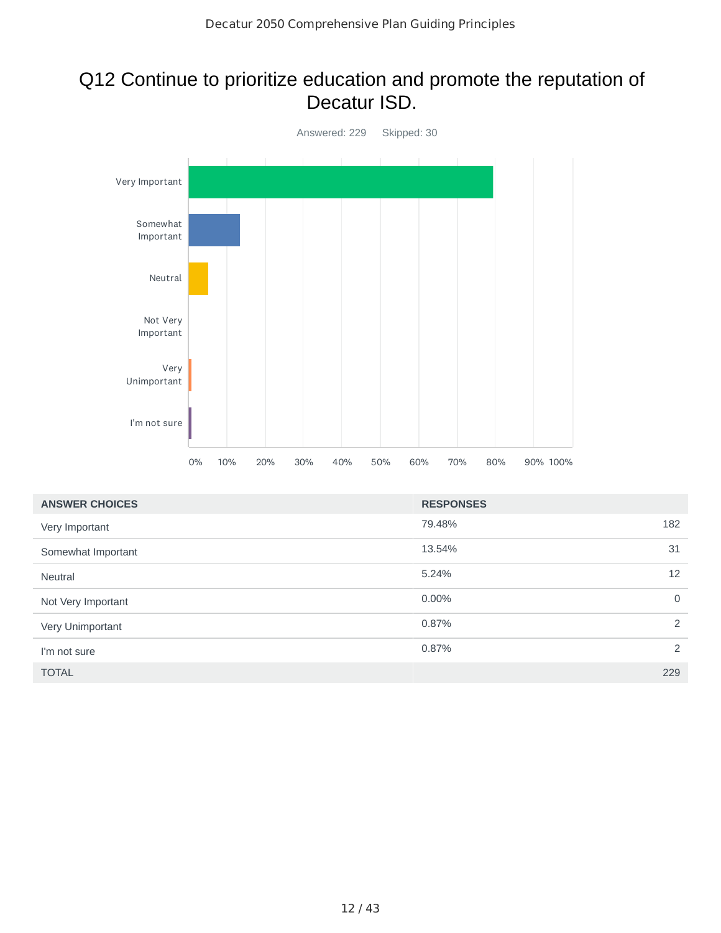#### Q12 Continue to prioritize education and promote the reputation of Decatur ISD.



| <b>ANSWER CHOICES</b> | <b>RESPONSES</b> |             |
|-----------------------|------------------|-------------|
| Very Important        | 79.48%           | 182         |
| Somewhat Important    | 13.54%           | 31          |
| <b>Neutral</b>        | 5.24%            | 12          |
| Not Very Important    | $0.00\%$         | $\mathbf 0$ |
| Very Unimportant      | 0.87%            | 2           |
| I'm not sure          | 0.87%            | 2           |
| <b>TOTAL</b>          |                  | 229         |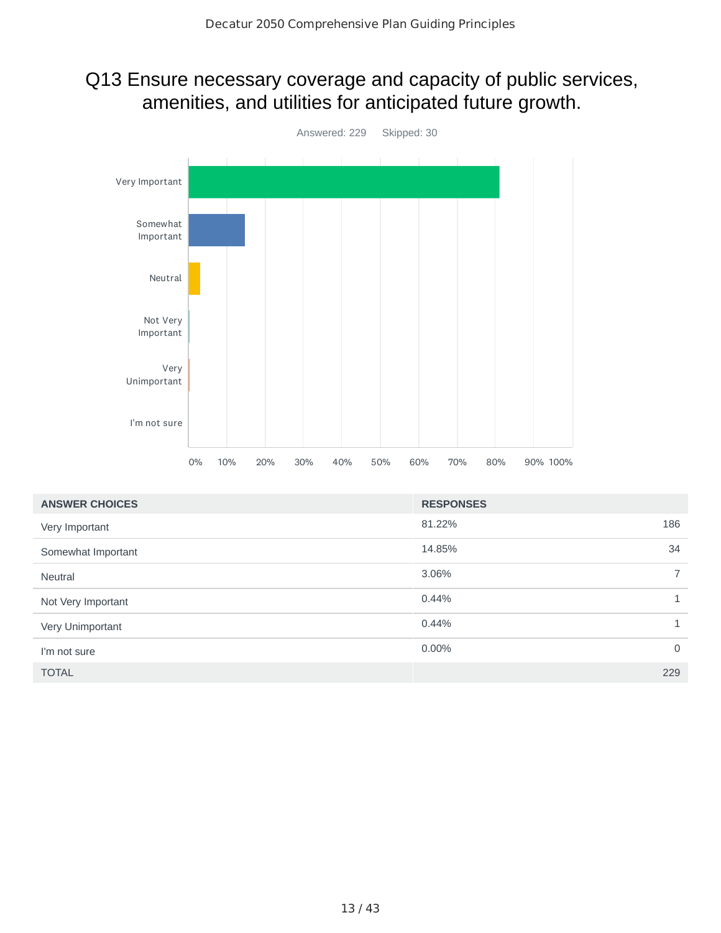## Q13 Ensure necessary coverage and capacity of public services, amenities, and utilities for anticipated future growth.



| <b>ANSWER CHOICES</b> | <b>RESPONSES</b> |                |
|-----------------------|------------------|----------------|
| Very Important        | 81.22%           | 186            |
| Somewhat Important    | 14.85%           | 34             |
| <b>Neutral</b>        | 3.06%            | $\overline{7}$ |
| Not Very Important    | 0.44%            | $\mathbf{1}$   |
| Very Unimportant      | 0.44%            | $\mathbf{1}$   |
| I'm not sure          | $0.00\%$         | $\mathbf 0$    |
| <b>TOTAL</b>          |                  | 229            |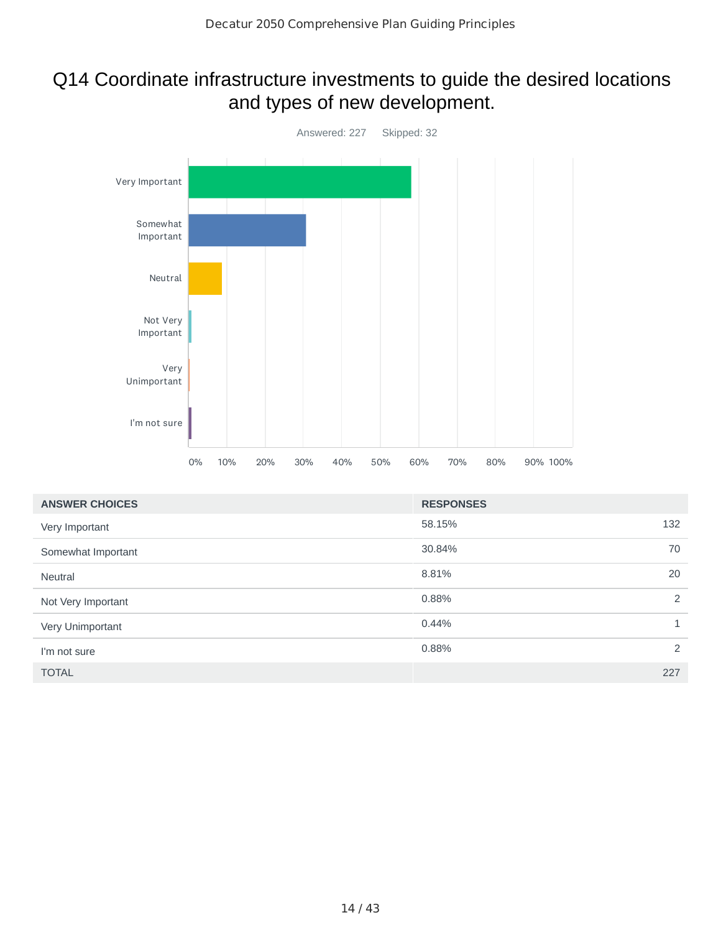#### Q14 Coordinate infrastructure investments to guide the desired locations and types of new development.



| <b>ANSWER CHOICES</b> | <b>RESPONSES</b> |              |
|-----------------------|------------------|--------------|
| Very Important        | 58.15%           | 132          |
| Somewhat Important    | 30.84%           | 70           |
| <b>Neutral</b>        | 8.81%            | 20           |
| Not Very Important    | 0.88%            | 2            |
| Very Unimportant      | 0.44%            | $\mathbf{1}$ |
| I'm not sure          | 0.88%            | 2            |
| <b>TOTAL</b>          |                  | 227          |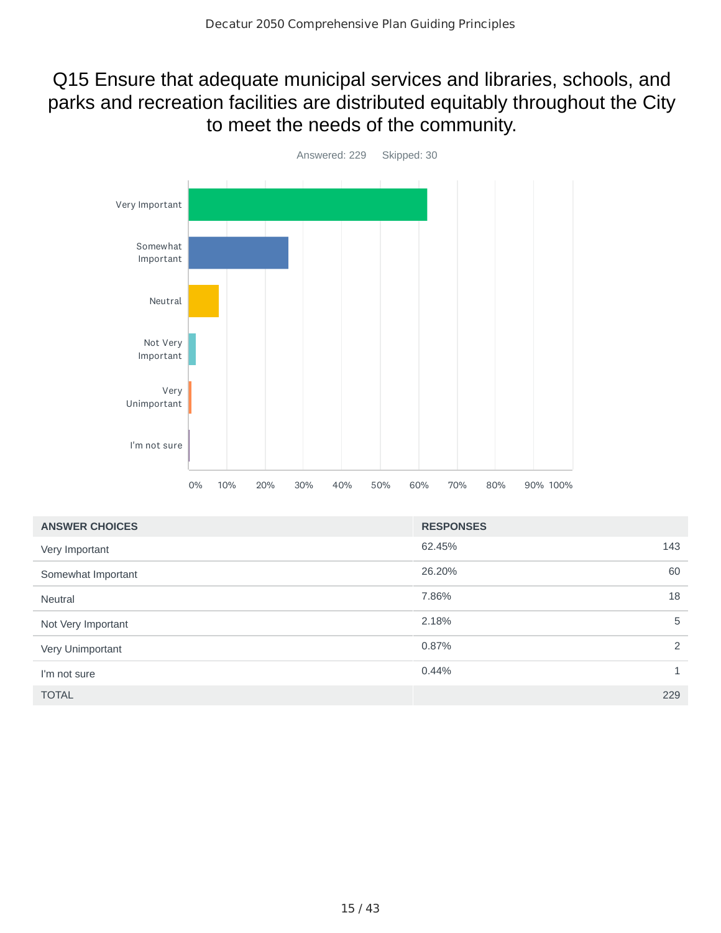## Q15 Ensure that adequate municipal services and libraries, schools, and parks and recreation facilities are distributed equitably throughout the City to meet the needs of the community.



| <b>ANSWER CHOICES</b> | <b>RESPONSES</b> |              |
|-----------------------|------------------|--------------|
| Very Important        | 62.45%           | 143          |
| Somewhat Important    | 26.20%           | 60           |
| <b>Neutral</b>        | 7.86%            | 18           |
| Not Very Important    | 2.18%            | 5            |
| Very Unimportant      | 0.87%            | 2            |
| I'm not sure          | 0.44%            | $\mathbf{1}$ |
| <b>TOTAL</b>          |                  | 229          |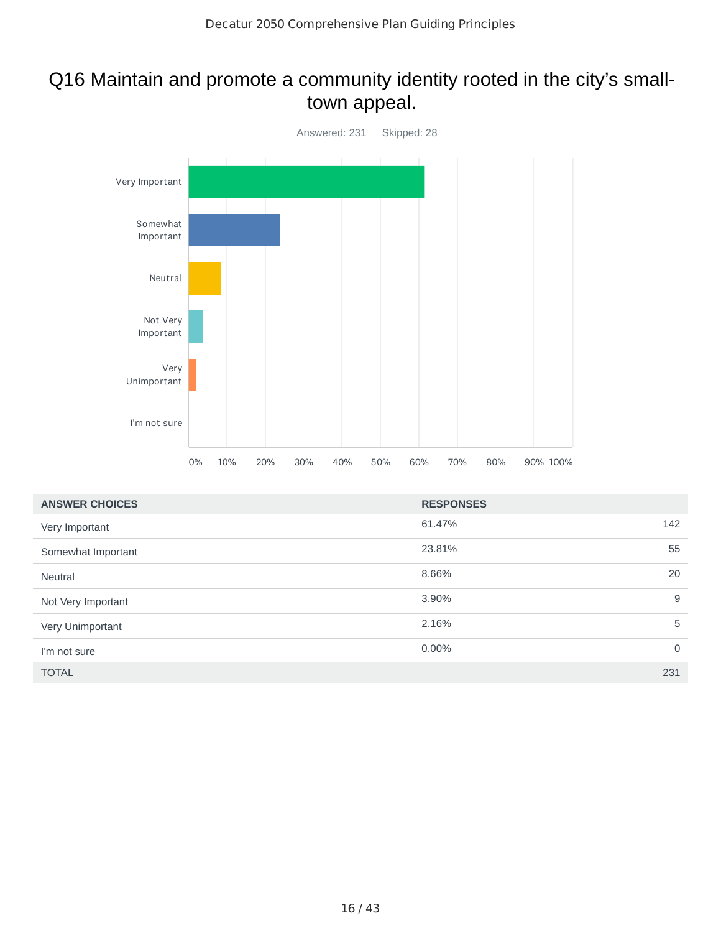## Q16 Maintain and promote a community identity rooted in the city's smalltown appeal.



| <b>ANSWER CHOICES</b> | <b>RESPONSES</b> |             |
|-----------------------|------------------|-------------|
| Very Important        | 61.47%           | 142         |
| Somewhat Important    | 23.81%           | 55          |
| <b>Neutral</b>        | 8.66%            | 20          |
| Not Very Important    | 3.90%            | 9           |
| Very Unimportant      | 2.16%            | 5           |
| I'm not sure          | 0.00%            | $\mathbf 0$ |
| <b>TOTAL</b>          |                  | 231         |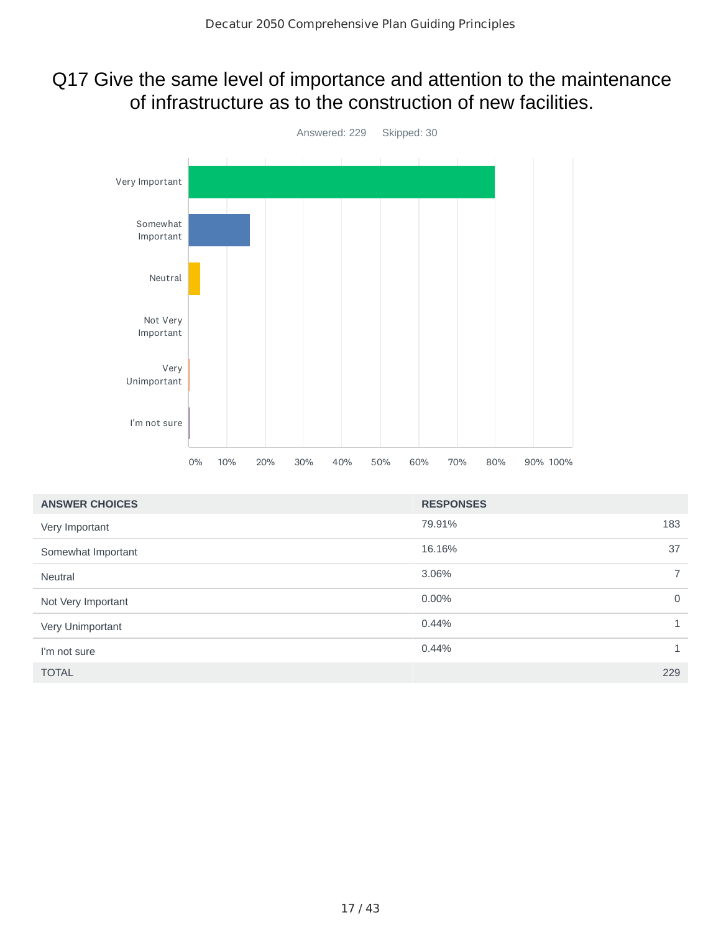#### Q17 Give the same level of importance and attention to the maintenance of infrastructure as to the construction of new facilities.



| <b>ANSWER CHOICES</b> | <b>RESPONSES</b> |                |
|-----------------------|------------------|----------------|
| Very Important        | 79.91%           | 183            |
| Somewhat Important    | 16.16%           | 37             |
| <b>Neutral</b>        | 3.06%            | $\overline{7}$ |
| Not Very Important    | 0.00%            | $\Omega$       |
| Very Unimportant      | 0.44%            | $\mathbf{1}$   |
| I'm not sure          | 0.44%            | $\mathbf{1}$   |
| <b>TOTAL</b>          |                  | 229            |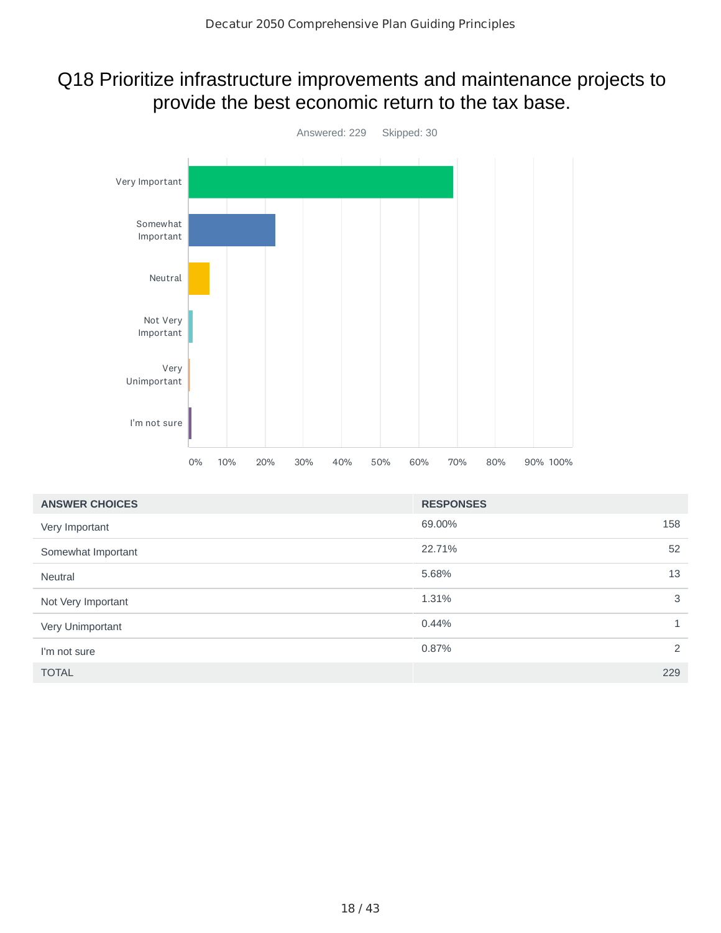#### Q18 Prioritize infrastructure improvements and maintenance projects to provide the best economic return to the tax base.



| <b>ANSWER CHOICES</b> | <b>RESPONSES</b> |                |
|-----------------------|------------------|----------------|
| Very Important        | 69.00%           | 158            |
| Somewhat Important    | 22.71%           | 52             |
| <b>Neutral</b>        | 5.68%            | 13             |
| Not Very Important    | 1.31%            | 3              |
| Very Unimportant      | 0.44%            | $\mathbf{1}$   |
| I'm not sure          | 0.87%            | $\overline{2}$ |
| <b>TOTAL</b>          |                  | 229            |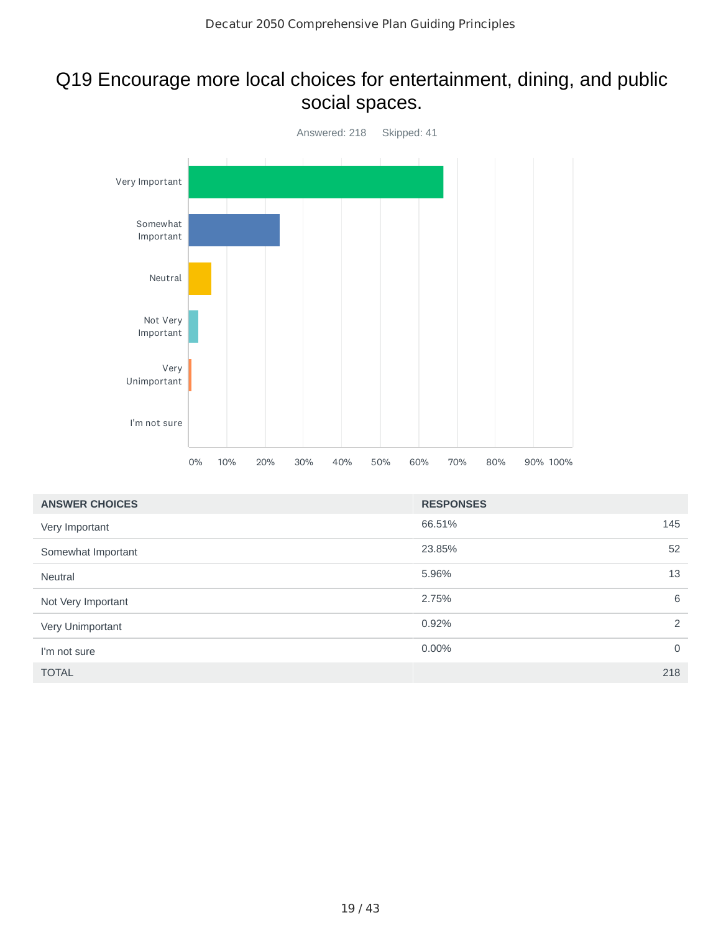# Q19 Encourage more local choices for entertainment, dining, and public social spaces.



| <b>ANSWER CHOICES</b> | <b>RESPONSES</b> |             |
|-----------------------|------------------|-------------|
| Very Important        | 66.51%           | 145         |
| Somewhat Important    | 23.85%           | 52          |
| <b>Neutral</b>        | 5.96%            | 13          |
| Not Very Important    | 2.75%            | 6           |
| Very Unimportant      | 0.92%            | 2           |
| I'm not sure          | 0.00%            | $\mathbf 0$ |
| <b>TOTAL</b>          |                  | 218         |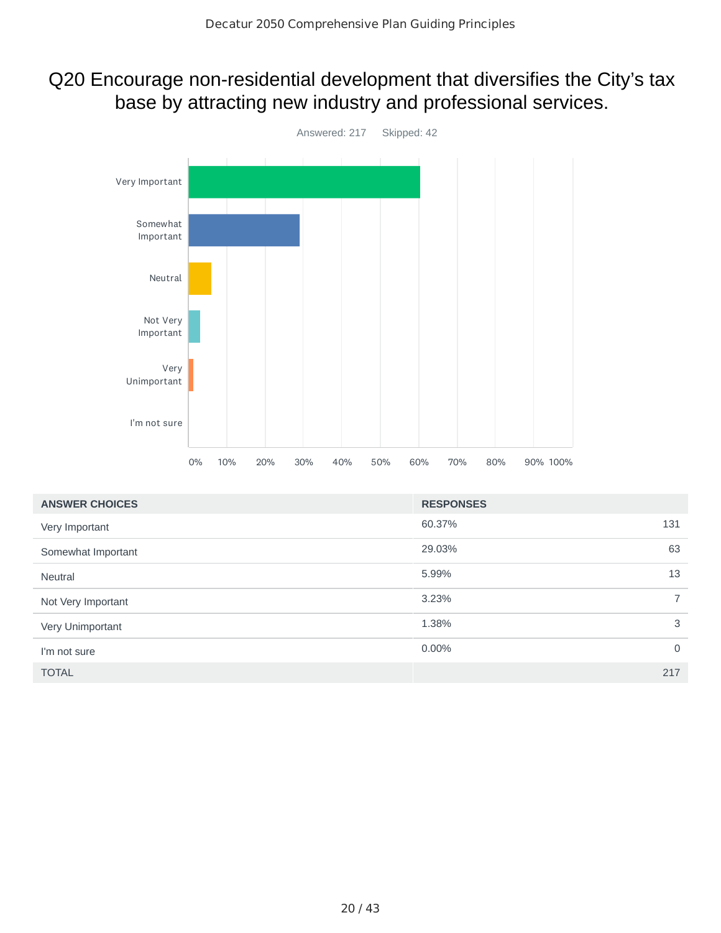#### Q20 Encourage non-residential development that diversifies the City's tax base by attracting new industry and professional services.

![](_page_19_Figure_2.jpeg)

| <b>ANSWER CHOICES</b> | <b>RESPONSES</b> |             |
|-----------------------|------------------|-------------|
| Very Important        | 60.37%           | 131         |
| Somewhat Important    | 29.03%           | 63          |
| <b>Neutral</b>        | 5.99%            | 13          |
| Not Very Important    | 3.23%            | $7^{\circ}$ |
| Very Unimportant      | 1.38%            | 3           |
| I'm not sure          | 0.00%            | $\Omega$    |
| <b>TOTAL</b>          |                  | 217         |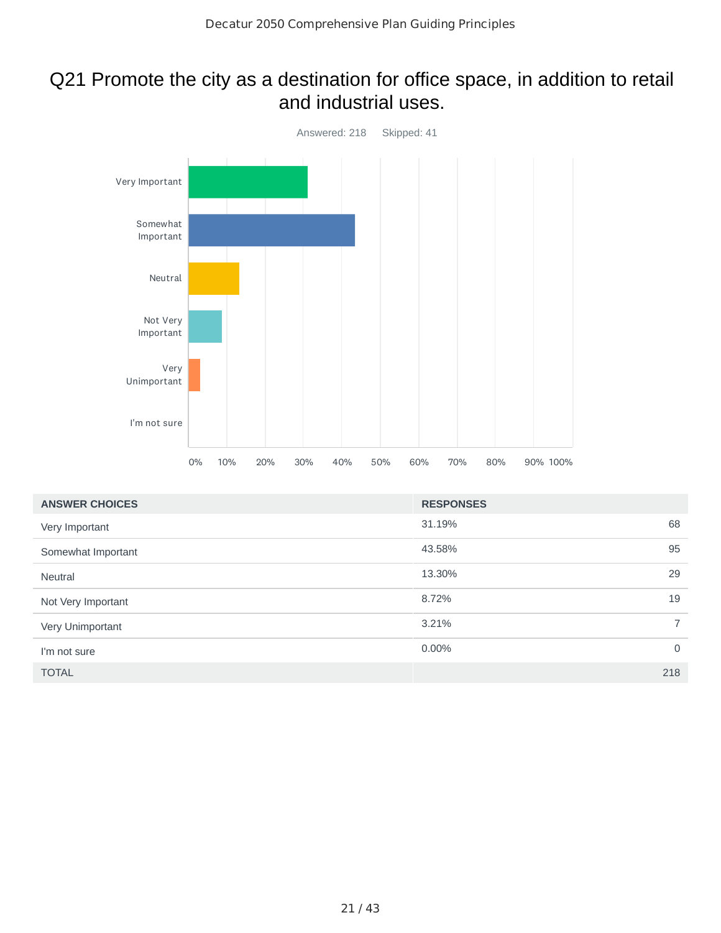#### Q21 Promote the city as a destination for office space, in addition to retail and industrial uses.

![](_page_20_Figure_2.jpeg)

| <b>ANSWER CHOICES</b> | <b>RESPONSES</b> |                |
|-----------------------|------------------|----------------|
| Very Important        | 31.19%           | 68             |
| Somewhat Important    | 43.58%           | 95             |
| <b>Neutral</b>        | 13.30%           | 29             |
| Not Very Important    | 8.72%            | 19             |
| Very Unimportant      | 3.21%            | $\overline{7}$ |
| I'm not sure          | 0.00%            | $\overline{0}$ |
| <b>TOTAL</b>          | 218              |                |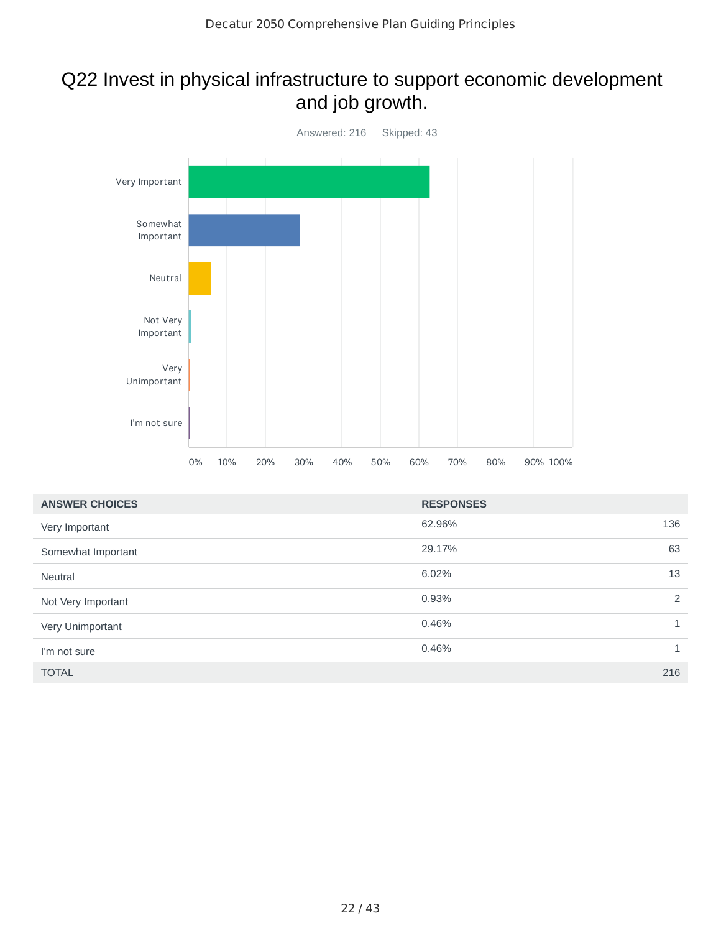## Q22 Invest in physical infrastructure to support economic development and job growth.

![](_page_21_Figure_2.jpeg)

| <b>ANSWER CHOICES</b> | <b>RESPONSES</b> |              |
|-----------------------|------------------|--------------|
| Very Important        | 62.96%           | 136          |
| Somewhat Important    | 29.17%           | 63           |
| <b>Neutral</b>        | 6.02%            | 13           |
| Not Very Important    | 0.93%            | 2            |
| Very Unimportant      | 0.46%            | $\mathbf{1}$ |
| I'm not sure          | 0.46%            | $\mathbf{1}$ |
| <b>TOTAL</b>          |                  | 216          |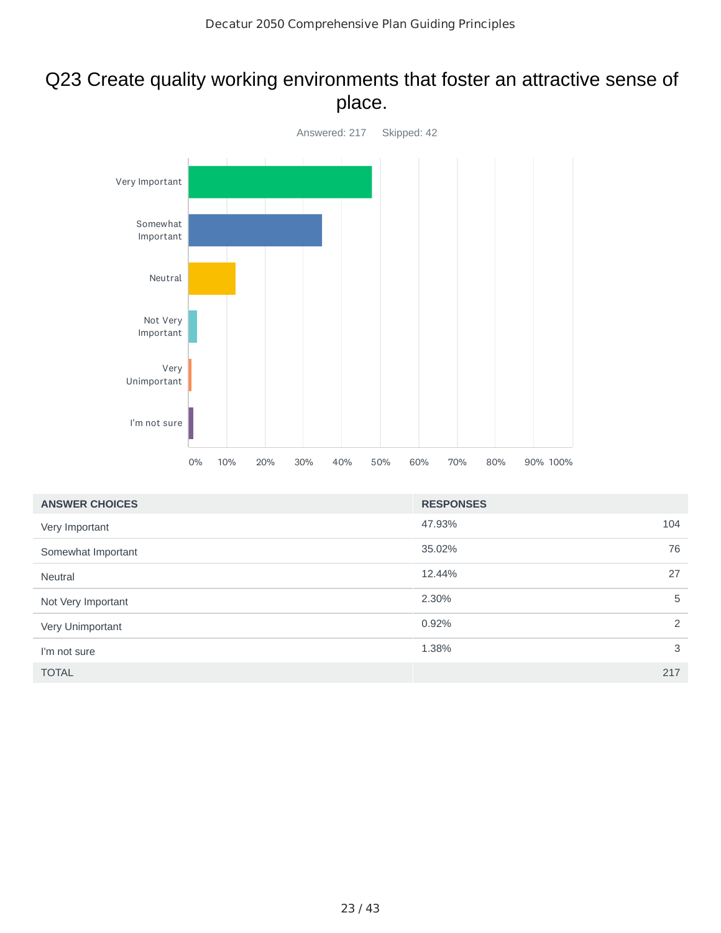#### Q23 Create quality working environments that foster an attractive sense of place.

![](_page_22_Figure_2.jpeg)

| <b>ANSWER CHOICES</b> | <b>RESPONSES</b> |     |
|-----------------------|------------------|-----|
| Very Important        | 47.93%           | 104 |
| Somewhat Important    | 35.02%           | 76  |
| <b>Neutral</b>        | 12.44%           | 27  |
| Not Very Important    | 2.30%            | 5   |
| Very Unimportant      | 0.92%            | 2   |
| I'm not sure          | 1.38%            | 3   |
| <b>TOTAL</b>          |                  | 217 |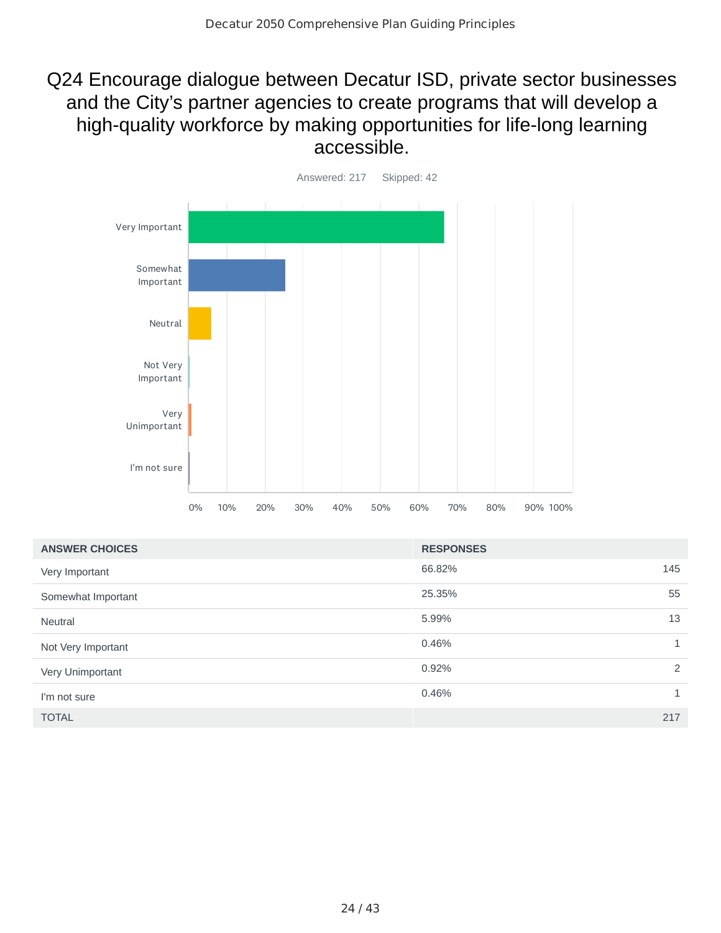## Q24 Encourage dialogue between Decatur ISD, private sector businesses and the City's partner agencies to create programs that will develop a high-quality workforce by making opportunities for life-long learning accessible.

![](_page_23_Figure_2.jpeg)

| <b>ANSWER CHOICES</b> | <b>RESPONSES</b> |              |
|-----------------------|------------------|--------------|
| Very Important        | 66.82%           | 145          |
| Somewhat Important    | 25.35%           | 55           |
| <b>Neutral</b>        | 5.99%            | 13           |
| Not Very Important    | 0.46%            | $\mathbf{1}$ |
| Very Unimportant      | 0.92%            | 2            |
| I'm not sure          | 0.46%            | 1            |
| <b>TOTAL</b>          |                  | 217          |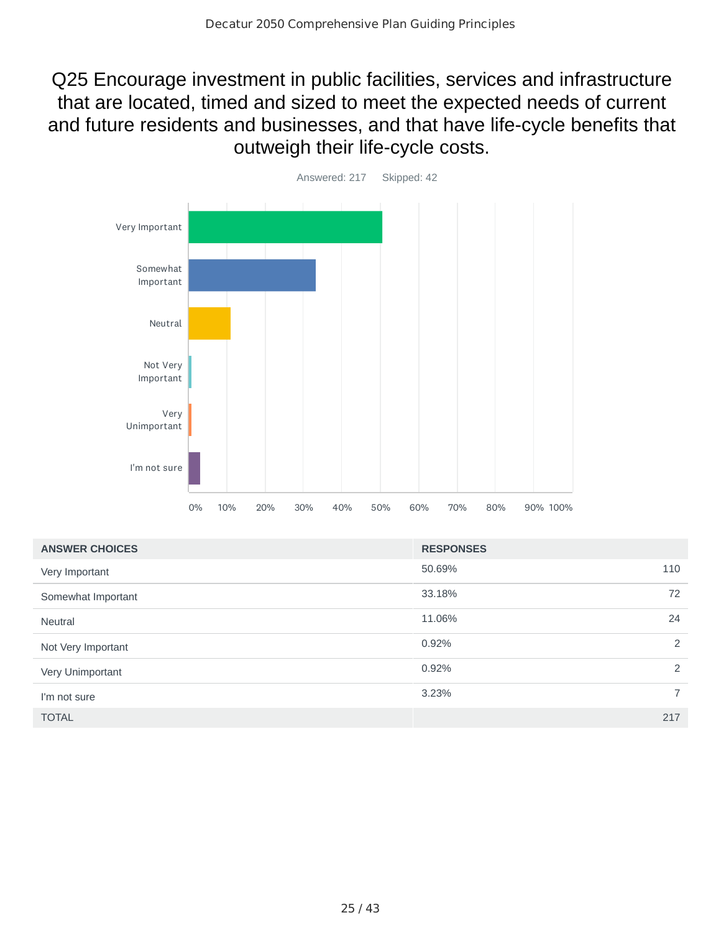Q25 Encourage investment in public facilities, services and infrastructure that are located, timed and sized to meet the expected needs of current and future residents and businesses, and that have life‐cycle benefits that outweigh their life‐cycle costs.

![](_page_24_Figure_2.jpeg)

| <b>ANSWER CHOICES</b> | <b>RESPONSES</b> |     |
|-----------------------|------------------|-----|
| Very Important        | 50.69%           | 110 |
| Somewhat Important    | 33.18%           | 72  |
| <b>Neutral</b>        | 11.06%           | 24  |
| Not Very Important    | 0.92%            | 2   |
| Very Unimportant      | 0.92%            | 2   |
| I'm not sure          | 3.23%            | 7   |
| <b>TOTAL</b>          |                  | 217 |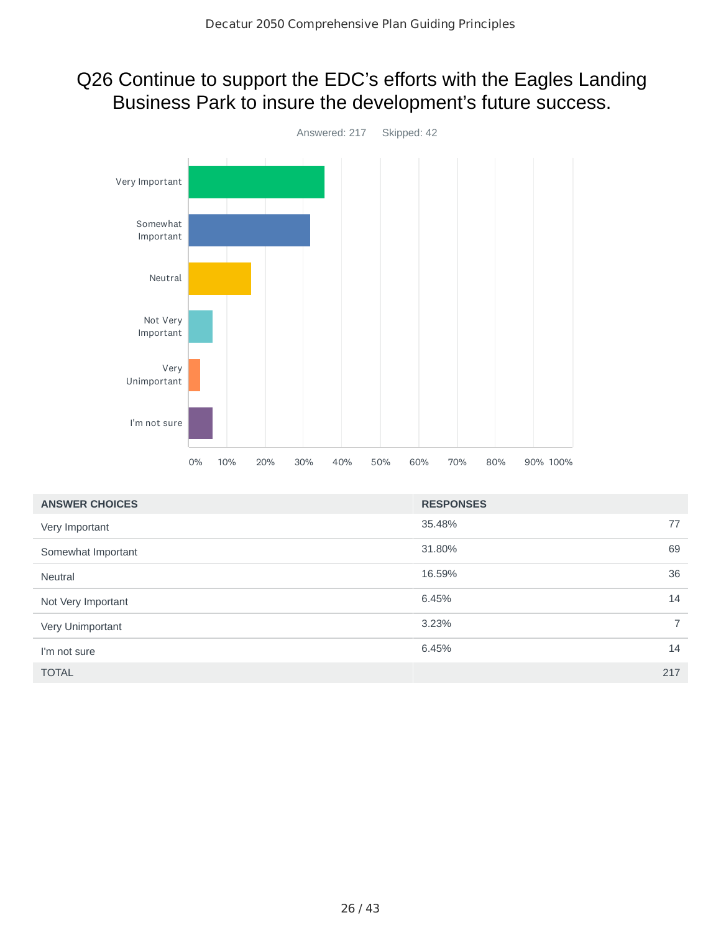# Q26 Continue to support the EDC's efforts with the Eagles Landing Business Park to insure the development's future success.

![](_page_25_Figure_2.jpeg)

| <b>ANSWER CHOICES</b> | <b>RESPONSES</b> |                |
|-----------------------|------------------|----------------|
| Very Important        | 35.48%           | 77             |
| Somewhat Important    | 31.80%           | 69             |
| <b>Neutral</b>        | 16.59%           | 36             |
| Not Very Important    | 6.45%            | 14             |
| Very Unimportant      | 3.23%            | $\overline{7}$ |
| I'm not sure          | 6.45%            | 14             |
| <b>TOTAL</b>          |                  | 217            |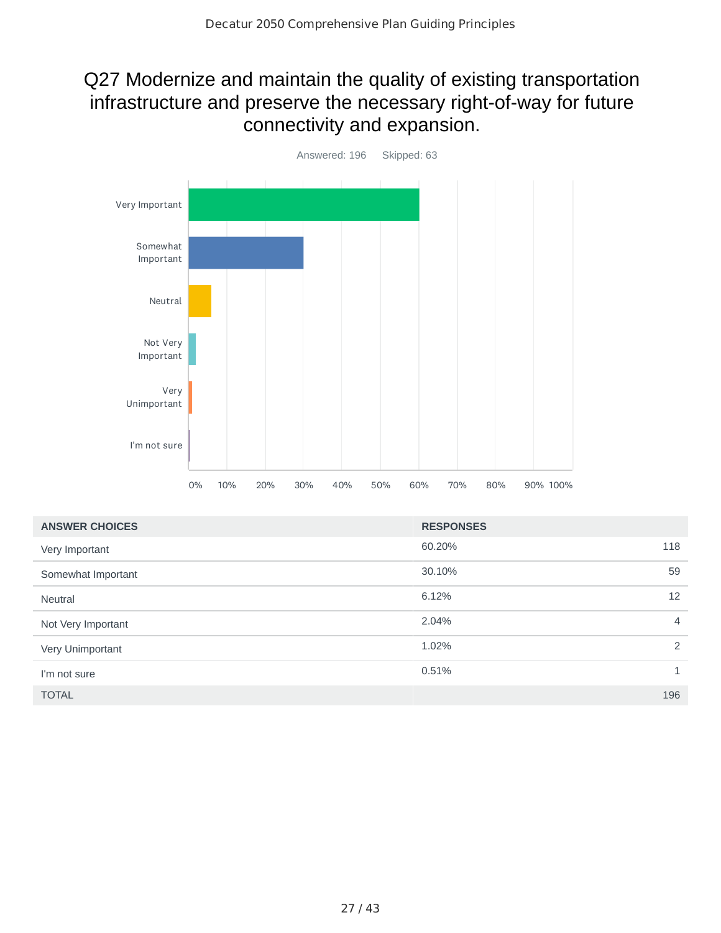## Q27 Modernize and maintain the quality of existing transportation infrastructure and preserve the necessary right-of-way for future connectivity and expansion.

![](_page_26_Figure_2.jpeg)

| <b>ANSWER CHOICES</b> | <b>RESPONSES</b> |                |
|-----------------------|------------------|----------------|
| Very Important        | 60.20%           | 118            |
| Somewhat Important    | 30.10%           | 59             |
| <b>Neutral</b>        | 6.12%            | 12             |
| Not Very Important    | 2.04%            | $\overline{4}$ |
| Very Unimportant      | 1.02%            | 2              |
| I'm not sure          | 0.51%            | 1              |
| <b>TOTAL</b>          |                  | 196            |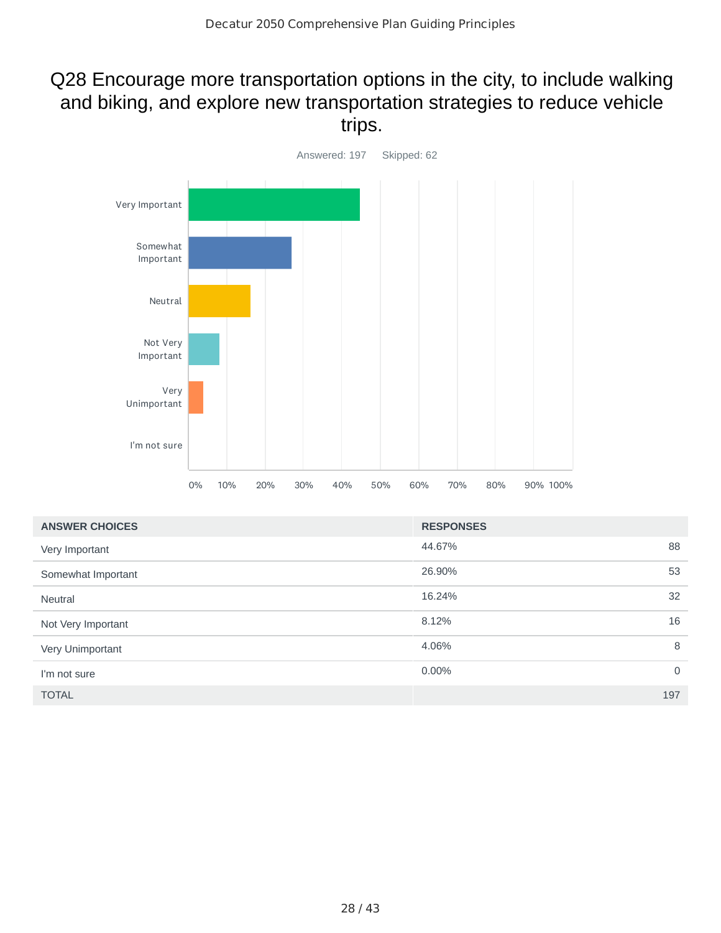## Q28 Encourage more transportation options in the city, to include walking and biking, and explore new transportation strategies to reduce vehicle trips.

![](_page_27_Figure_2.jpeg)

| <b>ANSWER CHOICES</b> | <b>RESPONSES</b> |                |
|-----------------------|------------------|----------------|
| Very Important        | 44.67%           | 88             |
| Somewhat Important    | 26.90%           | 53             |
| <b>Neutral</b>        | 16.24%           | 32             |
| Not Very Important    | 8.12%            | 16             |
| Very Unimportant      | 4.06%            | 8              |
| I'm not sure          | 0.00%            | $\overline{0}$ |
| <b>TOTAL</b>          |                  | 197            |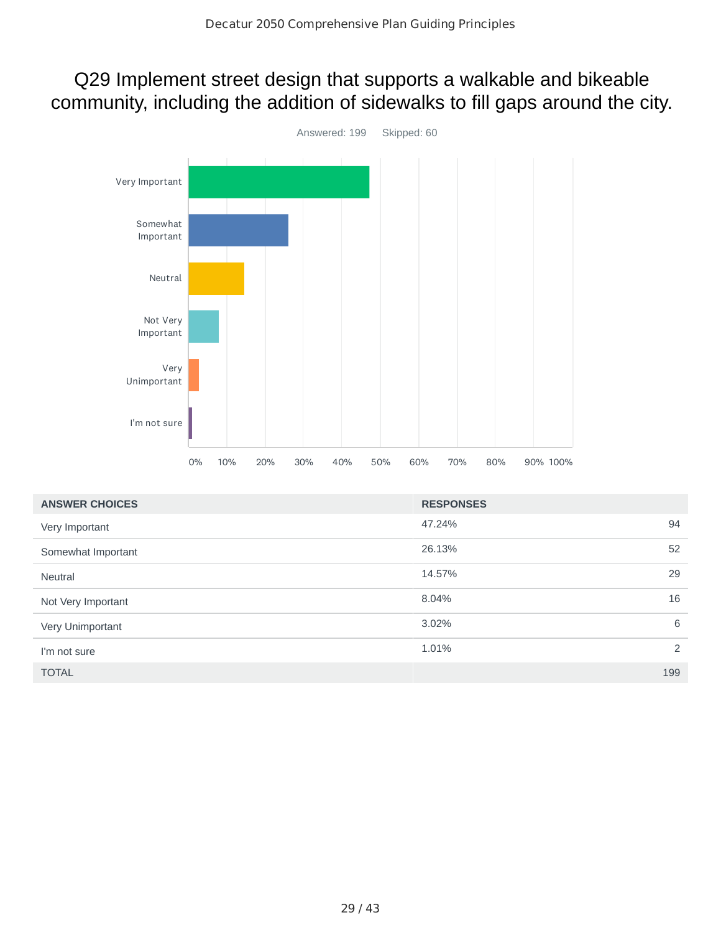## Q29 Implement street design that supports a walkable and bikeable community, including the addition of sidewalks to fill gaps around the city.

![](_page_28_Figure_2.jpeg)

| <b>ANSWER CHOICES</b> | <b>RESPONSES</b> |     |
|-----------------------|------------------|-----|
| Very Important        | 47.24%           | 94  |
| Somewhat Important    | 26.13%           | 52  |
| <b>Neutral</b>        | 14.57%           | 29  |
| Not Very Important    | 8.04%            | 16  |
| Very Unimportant      | 3.02%            | 6   |
| I'm not sure          | 1.01%            | 2   |
| <b>TOTAL</b>          |                  | 199 |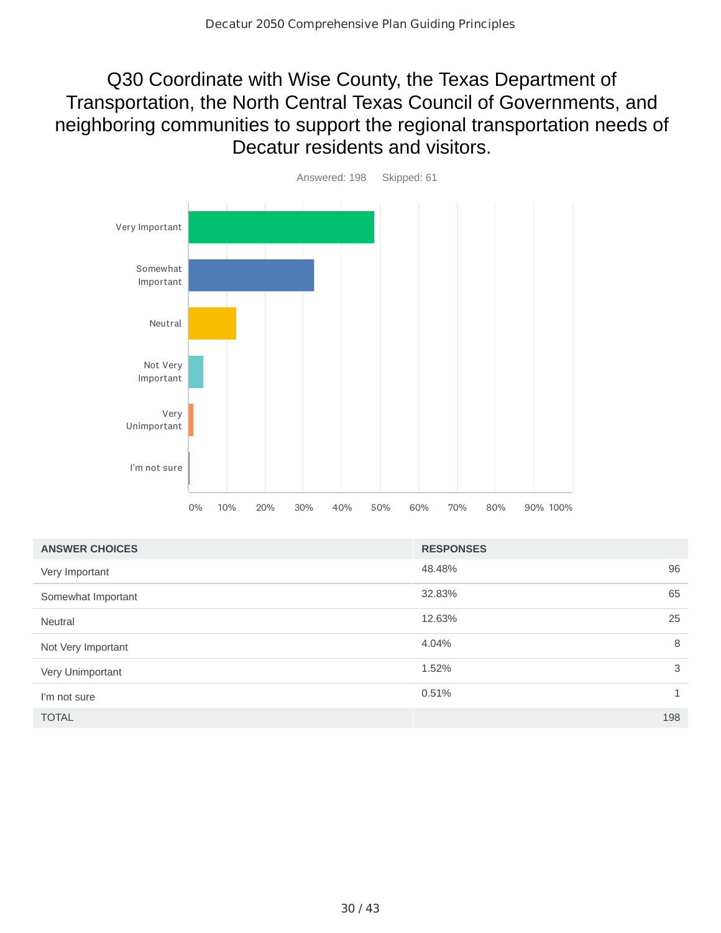## Q30 Coordinate with Wise County, the Texas Department of Transportation, the North Central Texas Council of Governments, and neighboring communities to support the regional transportation needs of Decatur residents and visitors.

![](_page_29_Figure_2.jpeg)

| <b>ANSWER CHOICES</b> | <b>RESPONSES</b> |              |
|-----------------------|------------------|--------------|
| Very Important        | 48.48%           | 96           |
| Somewhat Important    | 32.83%           | 65           |
| <b>Neutral</b>        | 12.63%           | 25           |
| Not Very Important    | 4.04%            | 8            |
| Very Unimportant      | 1.52%            | 3            |
| I'm not sure          | 0.51%            | $\mathbf{1}$ |
| <b>TOTAL</b>          |                  | 198          |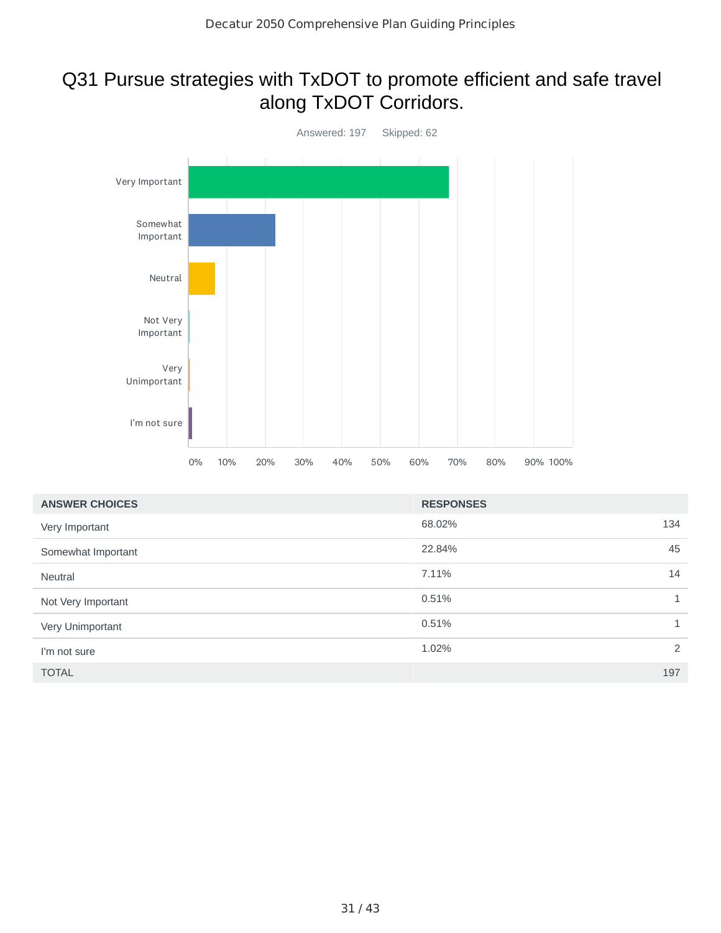## Q31 Pursue strategies with TxDOT to promote efficient and safe travel along TxDOT Corridors.

![](_page_30_Figure_2.jpeg)

| <b>ANSWER CHOICES</b> | <b>RESPONSES</b> |              |
|-----------------------|------------------|--------------|
| Very Important        | 68.02%           | 134          |
| Somewhat Important    | 22.84%           | 45           |
| Neutral               | 7.11%            | 14           |
| Not Very Important    | 0.51%            | $\mathbf{1}$ |
| Very Unimportant      | 0.51%            | $\mathbf{1}$ |
| I'm not sure          | 1.02%            | 2            |
| <b>TOTAL</b>          |                  | 197          |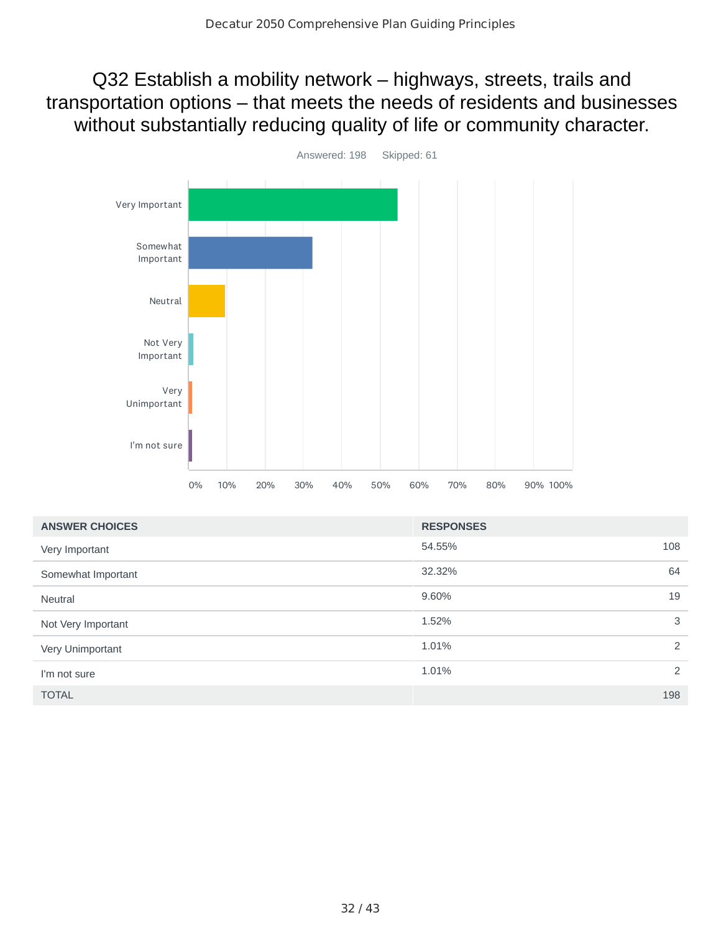Q32 Establish a mobility network – highways, streets, trails and transportation options – that meets the needs of residents and businesses without substantially reducing quality of life or community character.

![](_page_31_Figure_2.jpeg)

| <b>ANSWER CHOICES</b> | <b>RESPONSES</b> |     |
|-----------------------|------------------|-----|
| Very Important        | 54.55%           | 108 |
| Somewhat Important    | 32.32%           | 64  |
| <b>Neutral</b>        | 9.60%            | 19  |
| Not Very Important    | 1.52%            | 3   |
| Very Unimportant      | 1.01%            | 2   |
| I'm not sure          | 1.01%            | 2   |
| <b>TOTAL</b>          |                  | 198 |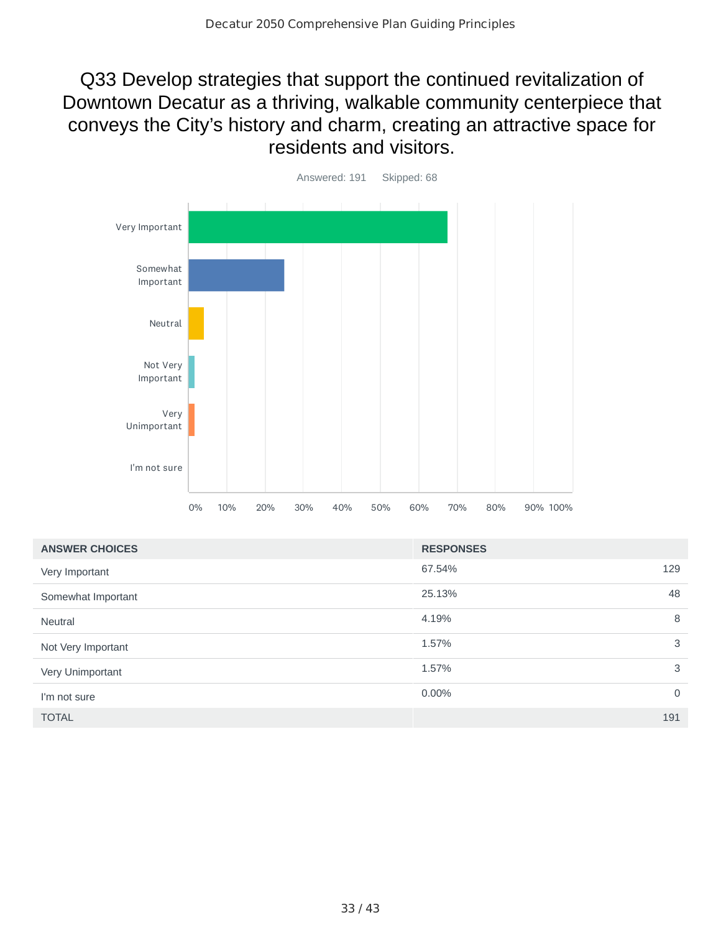## Q33 Develop strategies that support the continued revitalization of Downtown Decatur as a thriving, walkable community centerpiece that conveys the City's history and charm, creating an attractive space for residents and visitors.

![](_page_32_Figure_2.jpeg)

| <b>ANSWER CHOICES</b> | <b>RESPONSES</b> |             |
|-----------------------|------------------|-------------|
| Very Important        | 67.54%           | 129         |
| Somewhat Important    | 25.13%           | 48          |
| <b>Neutral</b>        | 4.19%            | 8           |
| Not Very Important    | 1.57%            | 3           |
| Very Unimportant      | 1.57%            | 3           |
| I'm not sure          | 0.00%            | $\mathbf 0$ |
| <b>TOTAL</b>          |                  | 191         |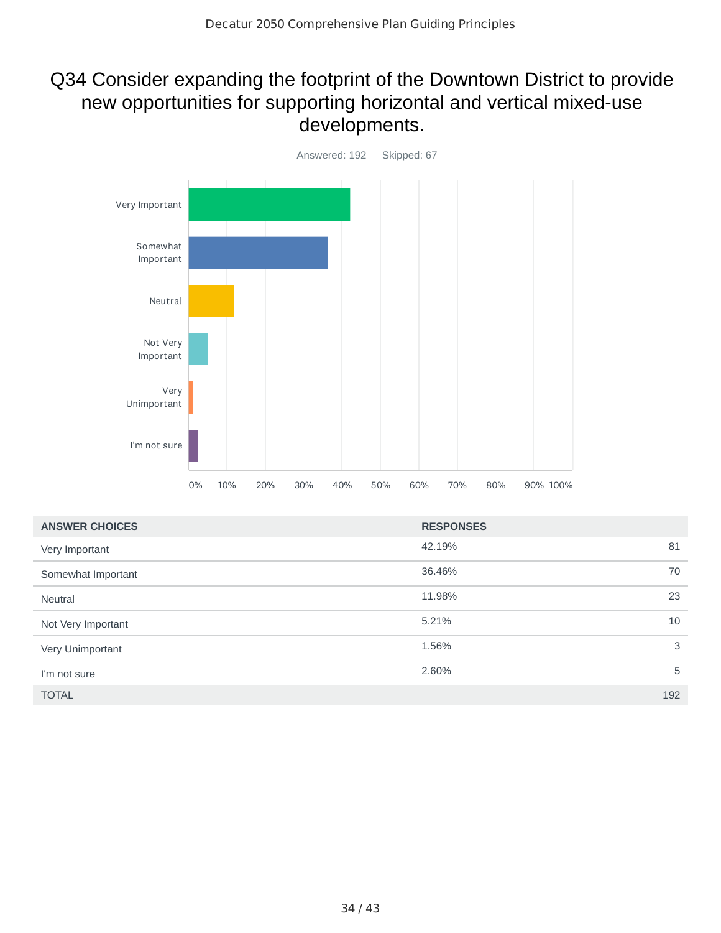## Q34 Consider expanding the footprint of the Downtown District to provide new opportunities for supporting horizontal and vertical mixed-use developments.

![](_page_33_Figure_2.jpeg)

| <b>ANSWER CHOICES</b> | <b>RESPONSES</b> |     |
|-----------------------|------------------|-----|
| Very Important        | 42.19%           | 81  |
| Somewhat Important    | 36.46%           | 70  |
| <b>Neutral</b>        | 11.98%           | 23  |
| Not Very Important    | 5.21%            | 10  |
| Very Unimportant      | 1.56%            | 3   |
| I'm not sure          | 2.60%            | 5   |
| <b>TOTAL</b>          |                  | 192 |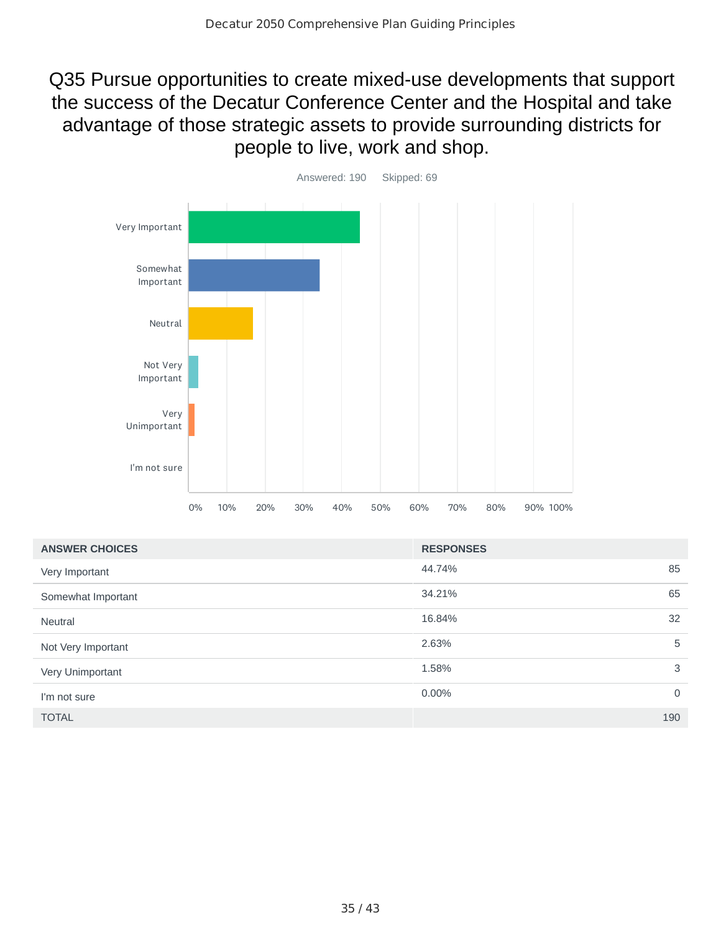Q35 Pursue opportunities to create mixed-use developments that support the success of the Decatur Conference Center and the Hospital and take advantage of those strategic assets to provide surrounding districts for people to live, work and shop.

![](_page_34_Figure_2.jpeg)

| <b>ANSWER CHOICES</b> | <b>RESPONSES</b> |             |
|-----------------------|------------------|-------------|
| Very Important        | 44.74%           | 85          |
| Somewhat Important    | 34.21%           | 65          |
| <b>Neutral</b>        | 16.84%           | 32          |
| Not Very Important    | 2.63%            | 5           |
| Very Unimportant      | 1.58%            | 3           |
| I'm not sure          | $0.00\%$         | $\mathbf 0$ |
| <b>TOTAL</b>          |                  | 190         |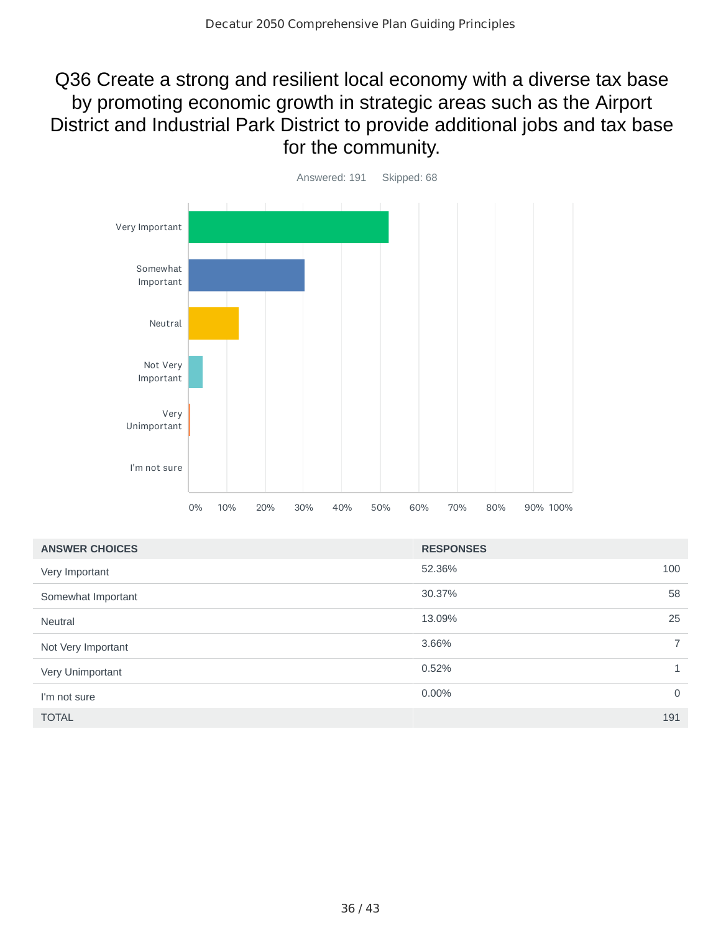## Q36 Create a strong and resilient local economy with a diverse tax base by promoting economic growth in strategic areas such as the Airport District and Industrial Park District to provide additional jobs and tax base for the community.

![](_page_35_Figure_2.jpeg)

| <b>ANSWER CHOICES</b> | <b>RESPONSES</b> |                          |
|-----------------------|------------------|--------------------------|
| Very Important        | 52.36%           | 100                      |
| Somewhat Important    | 30.37%           | 58                       |
| <b>Neutral</b>        | 13.09%           | 25                       |
| Not Very Important    | 3.66%            | $\overline{\phantom{1}}$ |
| Very Unimportant      | 0.52%            | 1                        |
| I'm not sure          | 0.00%            | $\mathbf 0$              |
| <b>TOTAL</b>          |                  | 191                      |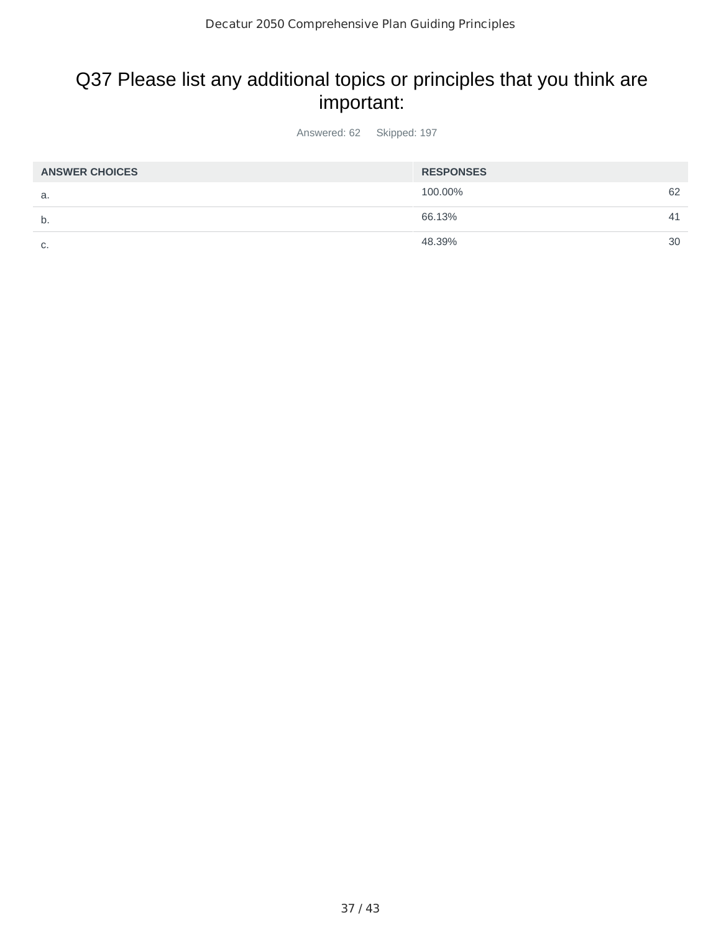# Q37 Please list any additional topics or principles that you think are important:

Answered: 62 Skipped: 197

| <b>ANSWER CHOICES</b> | <b>RESPONSES</b> |    |
|-----------------------|------------------|----|
| а.                    | 100.00%          | 62 |
| b.                    | 66.13%           | 41 |
| C.                    | 48.39%           | 30 |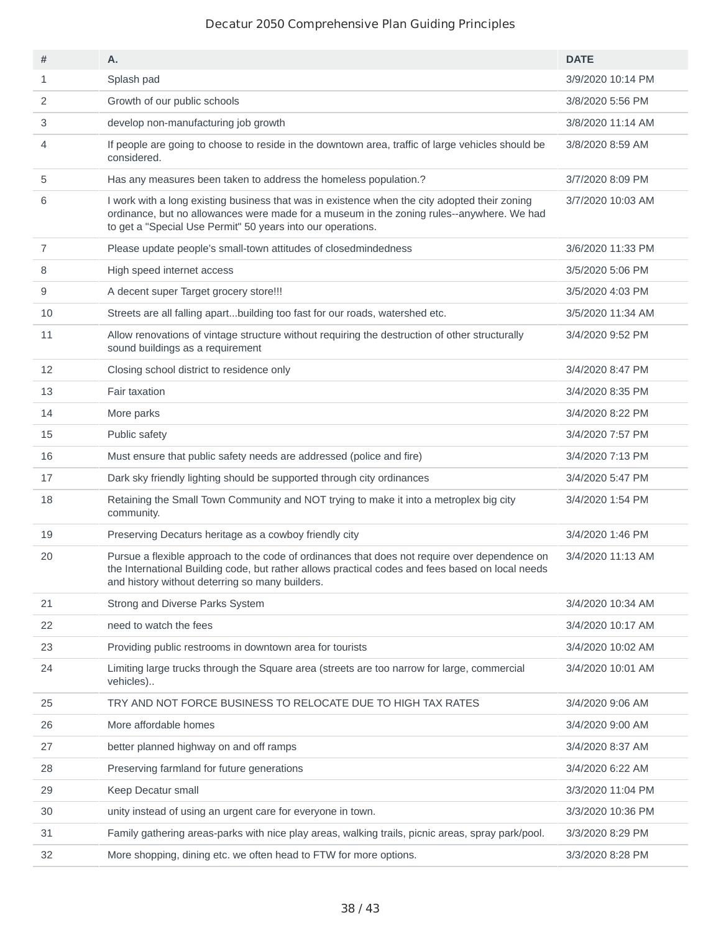| #              | Α.                                                                                                                                                                                                                                                        | <b>DATE</b>       |
|----------------|-----------------------------------------------------------------------------------------------------------------------------------------------------------------------------------------------------------------------------------------------------------|-------------------|
| $\mathbf{1}$   | Splash pad                                                                                                                                                                                                                                                | 3/9/2020 10:14 PM |
| 2              | Growth of our public schools                                                                                                                                                                                                                              | 3/8/2020 5:56 PM  |
| 3              | develop non-manufacturing job growth                                                                                                                                                                                                                      | 3/8/2020 11:14 AM |
| 4              | If people are going to choose to reside in the downtown area, traffic of large vehicles should be<br>considered.                                                                                                                                          | 3/8/2020 8:59 AM  |
| 5              | Has any measures been taken to address the homeless population.?                                                                                                                                                                                          | 3/7/2020 8:09 PM  |
| 6              | I work with a long existing business that was in existence when the city adopted their zoning<br>ordinance, but no allowances were made for a museum in the zoning rules--anywhere. We had<br>to get a "Special Use Permit" 50 years into our operations. | 3/7/2020 10:03 AM |
| $\overline{7}$ | Please update people's small-town attitudes of closedmindedness                                                                                                                                                                                           | 3/6/2020 11:33 PM |
| 8              | High speed internet access                                                                                                                                                                                                                                | 3/5/2020 5:06 PM  |
| 9              | A decent super Target grocery store!!!                                                                                                                                                                                                                    | 3/5/2020 4:03 PM  |
| 10             | Streets are all falling apartbuilding too fast for our roads, watershed etc.                                                                                                                                                                              | 3/5/2020 11:34 AM |
| 11             | Allow renovations of vintage structure without requiring the destruction of other structurally<br>sound buildings as a requirement                                                                                                                        | 3/4/2020 9:52 PM  |
| 12             | Closing school district to residence only                                                                                                                                                                                                                 | 3/4/2020 8:47 PM  |
| 13             | Fair taxation                                                                                                                                                                                                                                             | 3/4/2020 8:35 PM  |
| 14             | More parks                                                                                                                                                                                                                                                | 3/4/2020 8:22 PM  |
| 15             | Public safety                                                                                                                                                                                                                                             | 3/4/2020 7:57 PM  |
| 16             | Must ensure that public safety needs are addressed (police and fire)                                                                                                                                                                                      | 3/4/2020 7:13 PM  |
| 17             | Dark sky friendly lighting should be supported through city ordinances                                                                                                                                                                                    | 3/4/2020 5:47 PM  |
| 18             | Retaining the Small Town Community and NOT trying to make it into a metroplex big city<br>community.                                                                                                                                                      | 3/4/2020 1:54 PM  |
| 19             | Preserving Decaturs heritage as a cowboy friendly city                                                                                                                                                                                                    | 3/4/2020 1:46 PM  |
| 20             | Pursue a flexible approach to the code of ordinances that does not require over dependence on<br>the International Building code, but rather allows practical codes and fees based on local needs<br>and history without deterring so many builders.      | 3/4/2020 11:13 AM |
| 21             | Strong and Diverse Parks System                                                                                                                                                                                                                           | 3/4/2020 10:34 AM |
| 22             | need to watch the fees                                                                                                                                                                                                                                    | 3/4/2020 10:17 AM |
| 23             | Providing public restrooms in downtown area for tourists                                                                                                                                                                                                  | 3/4/2020 10:02 AM |
| 24             | Limiting large trucks through the Square area (streets are too narrow for large, commercial<br>vehicles)                                                                                                                                                  | 3/4/2020 10:01 AM |
| 25             | TRY AND NOT FORCE BUSINESS TO RELOCATE DUE TO HIGH TAX RATES                                                                                                                                                                                              | 3/4/2020 9:06 AM  |
| 26             | More affordable homes                                                                                                                                                                                                                                     | 3/4/2020 9:00 AM  |
| 27             | better planned highway on and off ramps                                                                                                                                                                                                                   | 3/4/2020 8:37 AM  |
| 28             | Preserving farmland for future generations                                                                                                                                                                                                                | 3/4/2020 6:22 AM  |
| 29             | Keep Decatur small                                                                                                                                                                                                                                        | 3/3/2020 11:04 PM |
| 30             | unity instead of using an urgent care for everyone in town.                                                                                                                                                                                               | 3/3/2020 10:36 PM |
| 31             | Family gathering areas-parks with nice play areas, walking trails, picnic areas, spray park/pool.                                                                                                                                                         | 3/3/2020 8:29 PM  |
| 32             | More shopping, dining etc. we often head to FTW for more options.                                                                                                                                                                                         | 3/3/2020 8:28 PM  |
|                |                                                                                                                                                                                                                                                           |                   |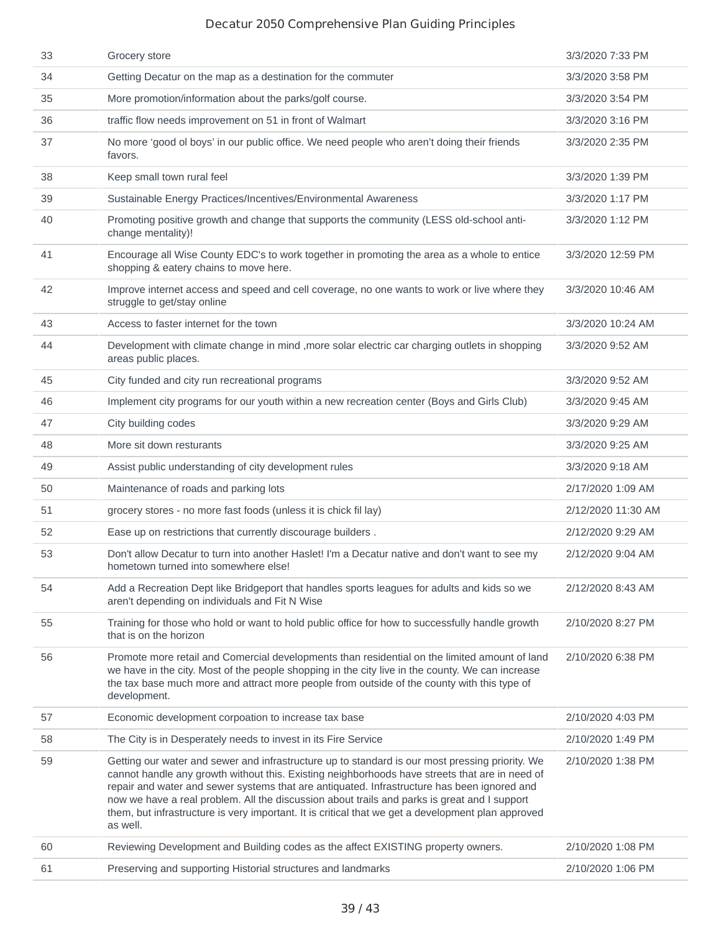| 33 | Grocery store                                                                                                                                                                                                                                                                                                                                                                                                                                                                                                      | 3/3/2020 7:33 PM   |
|----|--------------------------------------------------------------------------------------------------------------------------------------------------------------------------------------------------------------------------------------------------------------------------------------------------------------------------------------------------------------------------------------------------------------------------------------------------------------------------------------------------------------------|--------------------|
| 34 | Getting Decatur on the map as a destination for the commuter                                                                                                                                                                                                                                                                                                                                                                                                                                                       | 3/3/2020 3:58 PM   |
| 35 | More promotion/information about the parks/golf course.                                                                                                                                                                                                                                                                                                                                                                                                                                                            | 3/3/2020 3:54 PM   |
| 36 | traffic flow needs improvement on 51 in front of Walmart                                                                                                                                                                                                                                                                                                                                                                                                                                                           | 3/3/2020 3:16 PM   |
| 37 | No more 'good ol boys' in our public office. We need people who aren't doing their friends<br>favors.                                                                                                                                                                                                                                                                                                                                                                                                              | 3/3/2020 2:35 PM   |
| 38 | Keep small town rural feel                                                                                                                                                                                                                                                                                                                                                                                                                                                                                         | 3/3/2020 1:39 PM   |
| 39 | Sustainable Energy Practices/Incentives/Environmental Awareness                                                                                                                                                                                                                                                                                                                                                                                                                                                    | 3/3/2020 1:17 PM   |
| 40 | Promoting positive growth and change that supports the community (LESS old-school anti-<br>change mentality)!                                                                                                                                                                                                                                                                                                                                                                                                      | 3/3/2020 1:12 PM   |
| 41 | Encourage all Wise County EDC's to work together in promoting the area as a whole to entice<br>shopping & eatery chains to move here.                                                                                                                                                                                                                                                                                                                                                                              | 3/3/2020 12:59 PM  |
| 42 | Improve internet access and speed and cell coverage, no one wants to work or live where they<br>struggle to get/stay online                                                                                                                                                                                                                                                                                                                                                                                        | 3/3/2020 10:46 AM  |
| 43 | Access to faster internet for the town                                                                                                                                                                                                                                                                                                                                                                                                                                                                             | 3/3/2020 10:24 AM  |
| 44 | Development with climate change in mind , more solar electric car charging outlets in shopping<br>areas public places.                                                                                                                                                                                                                                                                                                                                                                                             | 3/3/2020 9:52 AM   |
| 45 | City funded and city run recreational programs                                                                                                                                                                                                                                                                                                                                                                                                                                                                     | 3/3/2020 9:52 AM   |
| 46 | Implement city programs for our youth within a new recreation center (Boys and Girls Club)                                                                                                                                                                                                                                                                                                                                                                                                                         | 3/3/2020 9:45 AM   |
| 47 | City building codes                                                                                                                                                                                                                                                                                                                                                                                                                                                                                                | 3/3/2020 9:29 AM   |
| 48 | More sit down resturants                                                                                                                                                                                                                                                                                                                                                                                                                                                                                           | 3/3/2020 9:25 AM   |
| 49 | Assist public understanding of city development rules                                                                                                                                                                                                                                                                                                                                                                                                                                                              | 3/3/2020 9:18 AM   |
| 50 | Maintenance of roads and parking lots                                                                                                                                                                                                                                                                                                                                                                                                                                                                              | 2/17/2020 1:09 AM  |
| 51 | grocery stores - no more fast foods (unless it is chick fil lay)                                                                                                                                                                                                                                                                                                                                                                                                                                                   | 2/12/2020 11:30 AM |
| 52 | Ease up on restrictions that currently discourage builders.                                                                                                                                                                                                                                                                                                                                                                                                                                                        | 2/12/2020 9:29 AM  |
| 53 | Don't allow Decatur to turn into another Haslet! I'm a Decatur native and don't want to see my<br>hometown turned into somewhere else!                                                                                                                                                                                                                                                                                                                                                                             | 2/12/2020 9:04 AM  |
| 54 | Add a Recreation Dept like Bridgeport that handles sports leagues for adults and kids so we<br>aren't depending on individuals and Fit N Wise                                                                                                                                                                                                                                                                                                                                                                      | 2/12/2020 8:43 AM  |
| 55 | Training for those who hold or want to hold public office for how to successfully handle growth<br>that is on the horizon                                                                                                                                                                                                                                                                                                                                                                                          | 2/10/2020 8:27 PM  |
| 56 | Promote more retail and Comercial developments than residential on the limited amount of land<br>we have in the city. Most of the people shopping in the city live in the county. We can increase<br>the tax base much more and attract more people from outside of the county with this type of<br>development.                                                                                                                                                                                                   | 2/10/2020 6:38 PM  |
| 57 | Economic development corpoation to increase tax base                                                                                                                                                                                                                                                                                                                                                                                                                                                               | 2/10/2020 4:03 PM  |
| 58 | The City is in Desperately needs to invest in its Fire Service                                                                                                                                                                                                                                                                                                                                                                                                                                                     | 2/10/2020 1:49 PM  |
| 59 | Getting our water and sewer and infrastructure up to standard is our most pressing priority. We<br>cannot handle any growth without this. Existing neighborhoods have streets that are in need of<br>repair and water and sewer systems that are antiquated. Infrastructure has been ignored and<br>now we have a real problem. All the discussion about trails and parks is great and I support<br>them, but infrastructure is very important. It is critical that we get a development plan approved<br>as well. | 2/10/2020 1:38 PM  |
| 60 | Reviewing Development and Building codes as the affect EXISTING property owners.                                                                                                                                                                                                                                                                                                                                                                                                                                   | 2/10/2020 1:08 PM  |
| 61 | Preserving and supporting Historial structures and landmarks                                                                                                                                                                                                                                                                                                                                                                                                                                                       | 2/10/2020 1:06 PM  |
|    |                                                                                                                                                                                                                                                                                                                                                                                                                                                                                                                    |                    |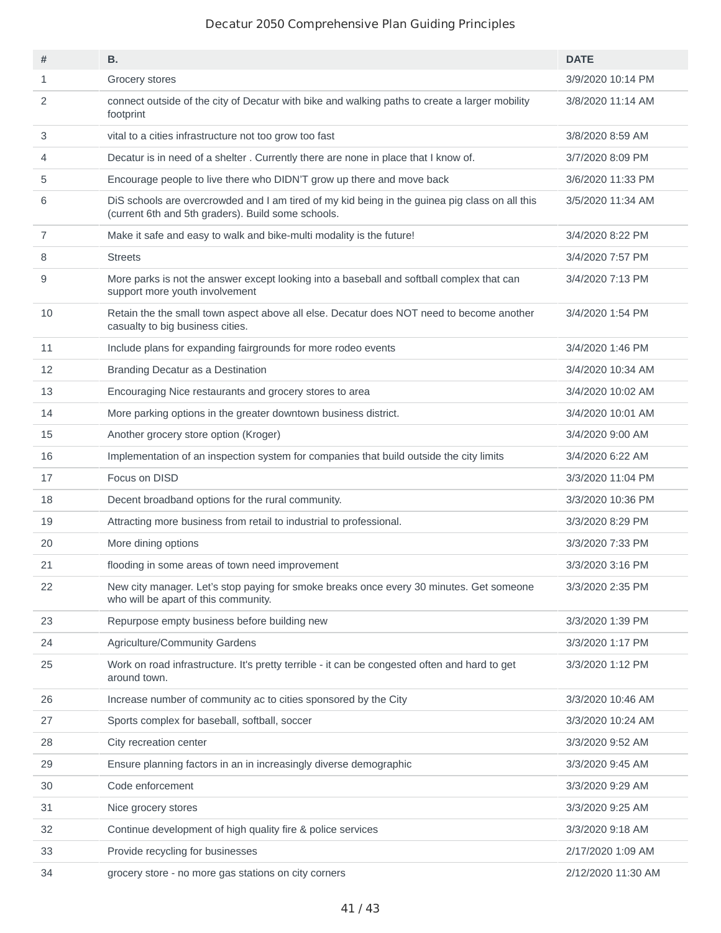| #              | В.                                                                                                                                                   | <b>DATE</b>        |
|----------------|------------------------------------------------------------------------------------------------------------------------------------------------------|--------------------|
| $\mathbf{1}$   | Grocery stores                                                                                                                                       | 3/9/2020 10:14 PM  |
| 2              | connect outside of the city of Decatur with bike and walking paths to create a larger mobility<br>footprint                                          | 3/8/2020 11:14 AM  |
| 3              | vital to a cities infrastructure not too grow too fast                                                                                               | 3/8/2020 8:59 AM   |
| 4              | Decatur is in need of a shelter. Currently there are none in place that I know of.                                                                   | 3/7/2020 8:09 PM   |
| 5              | Encourage people to live there who DIDN'T grow up there and move back                                                                                | 3/6/2020 11:33 PM  |
| 6              | DiS schools are overcrowded and I am tired of my kid being in the guinea pig class on all this<br>(current 6th and 5th graders). Build some schools. | 3/5/2020 11:34 AM  |
| $\overline{7}$ | Make it safe and easy to walk and bike-multi modality is the future!                                                                                 | 3/4/2020 8:22 PM   |
| 8              | <b>Streets</b>                                                                                                                                       | 3/4/2020 7:57 PM   |
| 9              | More parks is not the answer except looking into a baseball and softball complex that can<br>support more youth involvement                          | 3/4/2020 7:13 PM   |
| 10             | Retain the the small town aspect above all else. Decatur does NOT need to become another<br>casualty to big business cities.                         | 3/4/2020 1:54 PM   |
| 11             | Include plans for expanding fairgrounds for more rodeo events                                                                                        | 3/4/2020 1:46 PM   |
| 12             | Branding Decatur as a Destination                                                                                                                    | 3/4/2020 10:34 AM  |
| 13             | Encouraging Nice restaurants and grocery stores to area                                                                                              | 3/4/2020 10:02 AM  |
| 14             | More parking options in the greater downtown business district.                                                                                      | 3/4/2020 10:01 AM  |
| 15             | Another grocery store option (Kroger)                                                                                                                | 3/4/2020 9:00 AM   |
| 16             | Implementation of an inspection system for companies that build outside the city limits                                                              | 3/4/2020 6:22 AM   |
| 17             | Focus on DISD                                                                                                                                        | 3/3/2020 11:04 PM  |
| 18             | Decent broadband options for the rural community.                                                                                                    | 3/3/2020 10:36 PM  |
| 19             | Attracting more business from retail to industrial to professional.                                                                                  | 3/3/2020 8:29 PM   |
| 20             | More dining options                                                                                                                                  | 3/3/2020 7:33 PM   |
| 21             | flooding in some areas of town need improvement                                                                                                      | 3/3/2020 3:16 PM   |
| 22             | New city manager. Let's stop paying for smoke breaks once every 30 minutes. Get someone<br>who will be apart of this community.                      | 3/3/2020 2:35 PM   |
| 23             | Repurpose empty business before building new                                                                                                         | 3/3/2020 1:39 PM   |
| 24             | Agriculture/Community Gardens                                                                                                                        | 3/3/2020 1:17 PM   |
| 25             | Work on road infrastructure. It's pretty terrible - it can be congested often and hard to get<br>around town.                                        | 3/3/2020 1:12 PM   |
| 26             | Increase number of community ac to cities sponsored by the City                                                                                      | 3/3/2020 10:46 AM  |
| 27             | Sports complex for baseball, softball, soccer                                                                                                        | 3/3/2020 10:24 AM  |
| 28             | City recreation center                                                                                                                               | 3/3/2020 9:52 AM   |
| 29             | Ensure planning factors in an in increasingly diverse demographic                                                                                    | 3/3/2020 9:45 AM   |
| 30             | Code enforcement                                                                                                                                     | 3/3/2020 9:29 AM   |
| 31             | Nice grocery stores                                                                                                                                  | 3/3/2020 9:25 AM   |
| 32             | Continue development of high quality fire & police services                                                                                          | 3/3/2020 9:18 AM   |
| 33             | Provide recycling for businesses                                                                                                                     | 2/17/2020 1:09 AM  |
| 34             | grocery store - no more gas stations on city corners                                                                                                 | 2/12/2020 11:30 AM |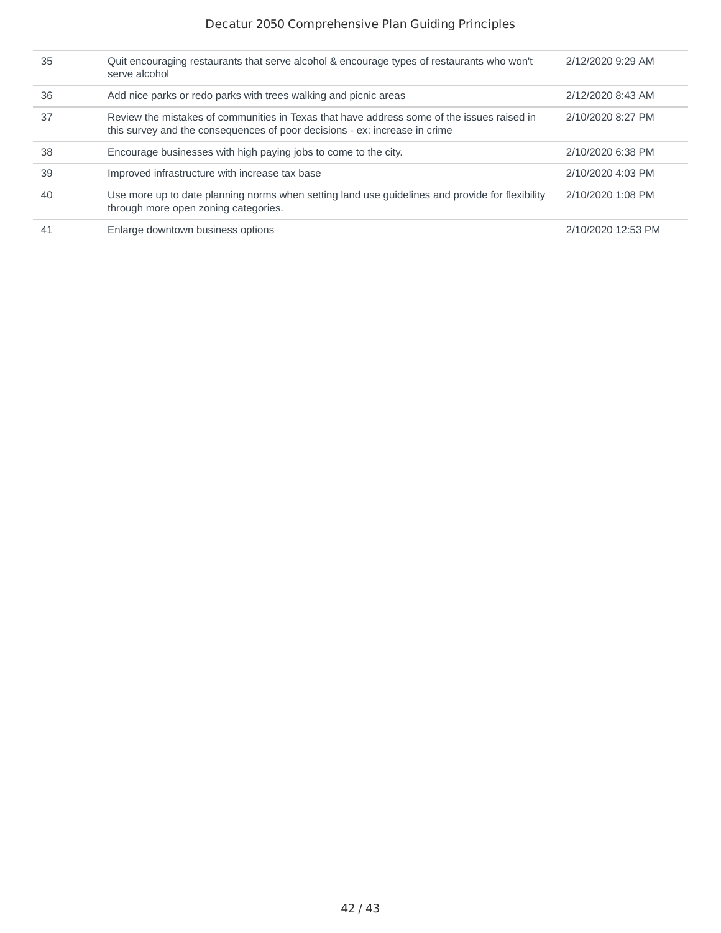| 35 | Ouit encouraging restaurants that serve alcohol & encourage types of restaurants who won't<br>serve alcohol                                                              | 2/12/2020 9:29 AM  |
|----|--------------------------------------------------------------------------------------------------------------------------------------------------------------------------|--------------------|
| 36 | Add nice parks or redo parks with trees walking and picnic areas                                                                                                         | 2/12/2020 8:43 AM  |
| 37 | Review the mistakes of communities in Texas that have address some of the issues raised in<br>this survey and the consequences of poor decisions - ex: increase in crime | 2/10/2020 8:27 PM  |
| 38 | Encourage businesses with high paying jobs to come to the city.                                                                                                          | 2/10/2020 6:38 PM  |
| 39 | Improved infrastructure with increase tax base                                                                                                                           | 2/10/2020 4:03 PM  |
| 40 | Use more up to date planning norms when setting land use guidelines and provide for flexibility<br>through more open zoning categories.                                  | 2/10/2020 1:08 PM  |
| 41 | Enlarge downtown business options                                                                                                                                        | 2/10/2020 12:53 PM |
|    |                                                                                                                                                                          |                    |